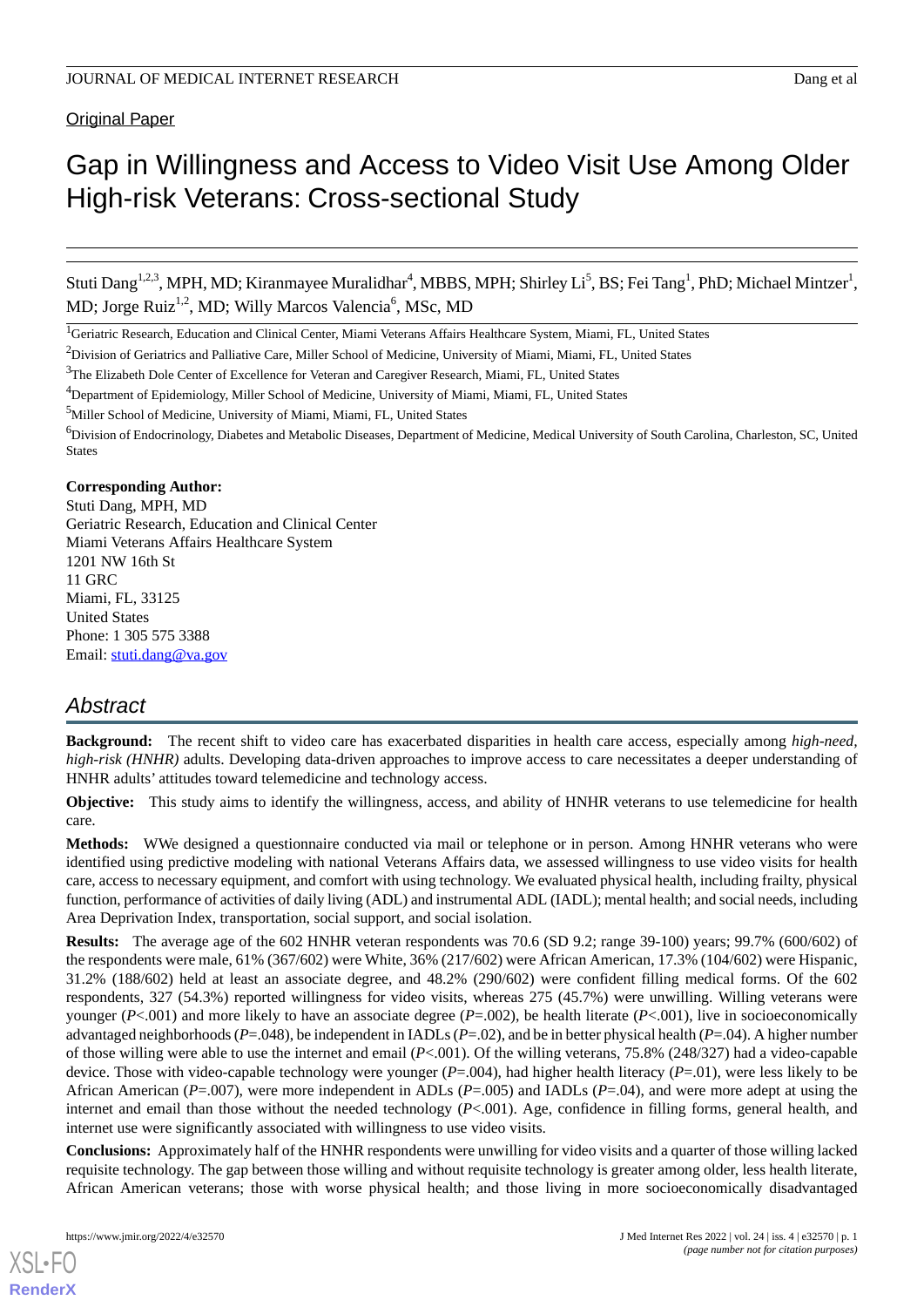# Gap in Willingness and Access to Video Visit Use Among Older High-risk Veterans: Cross-sectional Study

Stuti Dang<sup>1,2,3</sup>, MPH, MD; Kiranmayee Muralidhar<sup>4</sup>, MBBS, MPH; Shirley Li<sup>5</sup>, BS; Fei Tang<sup>1</sup>, PhD; Michael Mintzer<sup>1</sup>, MD; Jorge Ruiz<sup>1,2</sup>, MD; Willy Marcos Valencia<sup>6</sup>, MSc, MD

### **Corresponding Author:**

Stuti Dang, MPH, MD Geriatric Research, Education and Clinical Center Miami Veterans Affairs Healthcare System 1201 NW 16th St 11 GRC Miami, FL, 33125 United States Phone: 1 305 575 3388 Email: [stuti.dang@va.gov](mailto:stuti.dang@va.gov)

# *Abstract*

**Background:** The recent shift to video care has exacerbated disparities in health care access, especially among *high-need, high-risk (HNHR)* adults. Developing data-driven approaches to improve access to care necessitates a deeper understanding of HNHR adults' attitudes toward telemedicine and technology access.

**Objective:** This study aims to identify the willingness, access, and ability of HNHR veterans to use telemedicine for health care.

**Methods:** WWe designed a questionnaire conducted via mail or telephone or in person. Among HNHR veterans who were identified using predictive modeling with national Veterans Affairs data, we assessed willingness to use video visits for health care, access to necessary equipment, and comfort with using technology. We evaluated physical health, including frailty, physical function, performance of activities of daily living (ADL) and instrumental ADL (IADL); mental health; and social needs, including Area Deprivation Index, transportation, social support, and social isolation.

**Results:** The average age of the 602 HNHR veteran respondents was 70.6 (SD 9.2; range 39-100) years; 99.7% (600/602) of the respondents were male, 61% (367/602) were White, 36% (217/602) were African American, 17.3% (104/602) were Hispanic, 31.2% (188/602) held at least an associate degree, and 48.2% (290/602) were confident filling medical forms. Of the 602 respondents, 327 (54.3%) reported willingness for video visits, whereas 275 (45.7%) were unwilling. Willing veterans were younger (*P*<.001) and more likely to have an associate degree (*P*=.002), be health literate (*P*<.001), live in socioeconomically advantaged neighborhoods (*P*=.048), be independent in IADLs (*P*=.02), and be in better physical health (*P*=.04). A higher number of those willing were able to use the internet and email (*P*<.001). Of the willing veterans, 75.8% (248/327) had a video-capable device. Those with video-capable technology were younger (*P*=.004), had higher health literacy (*P*=.01), were less likely to be African American (*P*=.007), were more independent in ADLs (*P*=.005) and IADLs (*P*=.04), and were more adept at using the internet and email than those without the needed technology (*P*<.001). Age, confidence in filling forms, general health, and internet use were significantly associated with willingness to use video visits.

**Conclusions:** Approximately half of the HNHR respondents were unwilling for video visits and a quarter of those willing lacked requisite technology. The gap between those willing and without requisite technology is greater among older, less health literate, African American veterans; those with worse physical health; and those living in more socioeconomically disadvantaged

<sup>&</sup>lt;sup>1</sup>Geriatric Research, Education and Clinical Center, Miami Veterans Affairs Healthcare System, Miami, FL, United States

<sup>&</sup>lt;sup>2</sup>Division of Geriatrics and Palliative Care, Miller School of Medicine, University of Miami, Miami, FL, United States

<sup>&</sup>lt;sup>3</sup>The Elizabeth Dole Center of Excellence for Veteran and Caregiver Research, Miami, FL, United States

<sup>4</sup>Department of Epidemiology, Miller School of Medicine, University of Miami, Miami, FL, United States

<sup>&</sup>lt;sup>5</sup>Miller School of Medicine, University of Miami, Miami, FL, United States

<sup>&</sup>lt;sup>6</sup>Division of Endocrinology, Diabetes and Metabolic Diseases, Department of Medicine, Medical University of South Carolina, Charleston, SC, United States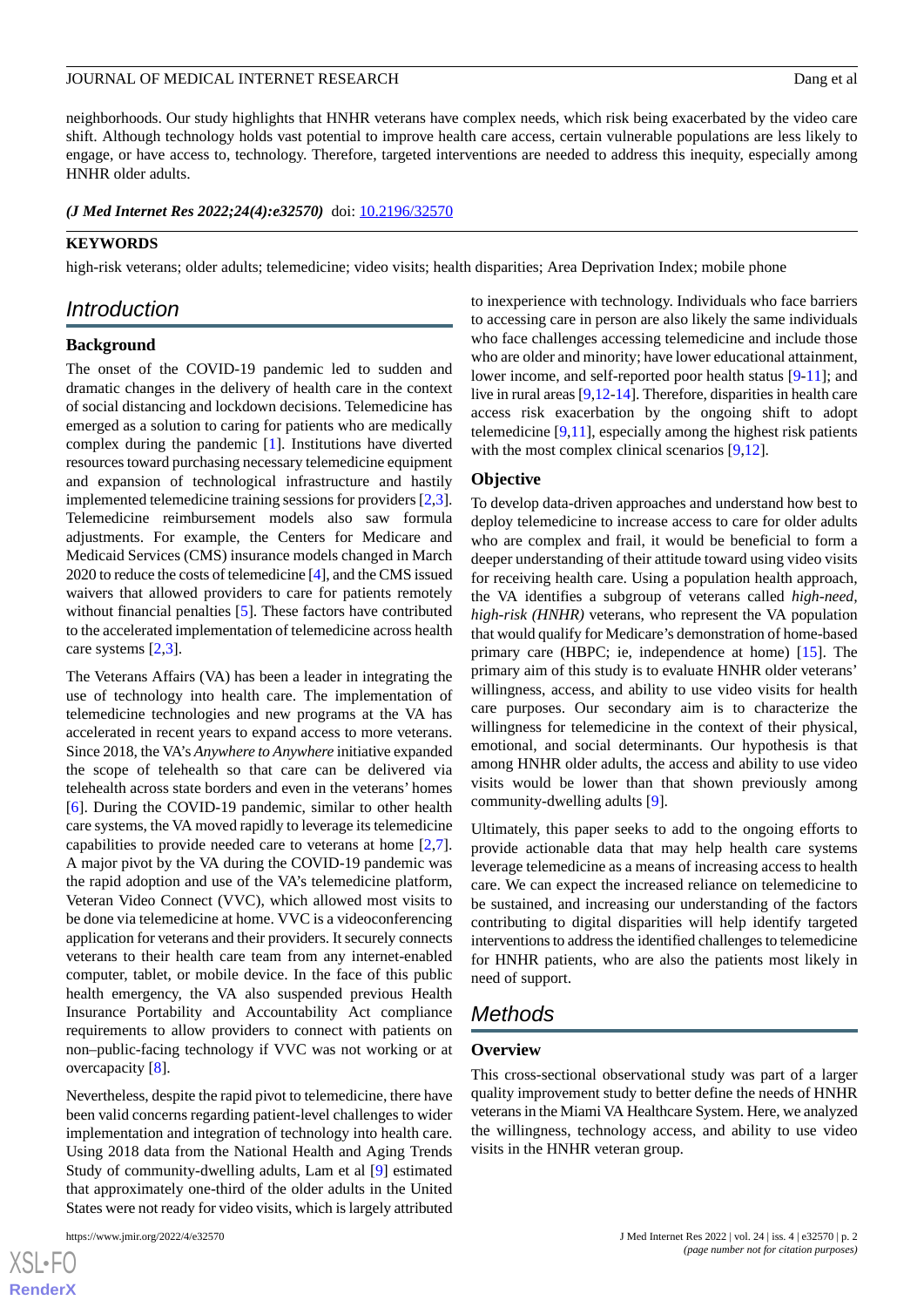### JOURNAL OF MEDICAL INTERNET RESEARCH DANGER AND THE SERVICE OF MEDICAL INTERNET RESEARCH

neighborhoods. Our study highlights that HNHR veterans have complex needs, which risk being exacerbated by the video care shift. Although technology holds vast potential to improve health care access, certain vulnerable populations are less likely to engage, or have access to, technology. Therefore, targeted interventions are needed to address this inequity, especially among HNHR older adults.

(*J Med Internet Res 2022;24(4):e32570*) doi: **[10.2196/32570](http://dx.doi.org/10.2196/32570)** 

### **KEYWORDS**

high-risk veterans; older adults; telemedicine; video visits; health disparities; Area Deprivation Index; mobile phone

# *Introduction*

### **Background**

The onset of the COVID-19 pandemic led to sudden and dramatic changes in the delivery of health care in the context of social distancing and lockdown decisions. Telemedicine has emerged as a solution to caring for patients who are medically complex during the pandemic [\[1](#page-12-0)]. Institutions have diverted resources toward purchasing necessary telemedicine equipment and expansion of technological infrastructure and hastily implemented telemedicine training sessions for providers [\[2](#page-12-1),[3\]](#page-12-2). Telemedicine reimbursement models also saw formula adjustments. For example, the Centers for Medicare and Medicaid Services (CMS) insurance models changed in March 2020 to reduce the costs of telemedicine [\[4\]](#page-12-3), and the CMS issued waivers that allowed providers to care for patients remotely without financial penalties [[5\]](#page-12-4). These factors have contributed to the accelerated implementation of telemedicine across health care systems [\[2](#page-12-1),[3\]](#page-12-2).

The Veterans Affairs (VA) has been a leader in integrating the use of technology into health care. The implementation of telemedicine technologies and new programs at the VA has accelerated in recent years to expand access to more veterans. Since 2018, the VA's *Anywhere to Anywhere* initiative expanded the scope of telehealth so that care can be delivered via telehealth across state borders and even in the veterans' homes [[6\]](#page-12-5). During the COVID-19 pandemic, similar to other health care systems, the VA moved rapidly to leverage its telemedicine capabilities to provide needed care to veterans at home [\[2](#page-12-1),[7\]](#page-12-6). A major pivot by the VA during the COVID-19 pandemic was the rapid adoption and use of the VA's telemedicine platform, Veteran Video Connect (VVC), which allowed most visits to be done via telemedicine at home. VVC is a videoconferencing application for veterans and their providers. It securely connects veterans to their health care team from any internet-enabled computer, tablet, or mobile device. In the face of this public health emergency, the VA also suspended previous Health Insurance Portability and Accountability Act compliance requirements to allow providers to connect with patients on non–public-facing technology if VVC was not working or at overcapacity [\[8](#page-12-7)].

Nevertheless, despite the rapid pivot to telemedicine, there have been valid concerns regarding patient-level challenges to wider implementation and integration of technology into health care. Using 2018 data from the National Health and Aging Trends Study of community-dwelling adults, Lam et al [[9\]](#page-12-8) estimated that approximately one-third of the older adults in the United States were not ready for video visits, which is largely attributed

to inexperience with technology. Individuals who face barriers to accessing care in person are also likely the same individuals who face challenges accessing telemedicine and include those who are older and minority; have lower educational attainment, lower income, and self-reported poor health status [\[9](#page-12-8)-[11\]](#page-12-9); and live in rural areas [\[9](#page-12-8)[,12](#page-12-10)-[14](#page-12-11)]. Therefore, disparities in health care access risk exacerbation by the ongoing shift to adopt telemedicine  $[9,11]$  $[9,11]$ , especially among the highest risk patients with the most complex clinical scenarios [\[9](#page-12-8),[12\]](#page-12-10).

### **Objective**

To develop data-driven approaches and understand how best to deploy telemedicine to increase access to care for older adults who are complex and frail, it would be beneficial to form a deeper understanding of their attitude toward using video visits for receiving health care. Using a population health approach, the VA identifies a subgroup of veterans called *high-need, high-risk (HNHR)* veterans, who represent the VA population that would qualify for Medicare's demonstration of home-based primary care (HBPC; ie, independence at home) [[15\]](#page-13-0). The primary aim of this study is to evaluate HNHR older veterans' willingness, access, and ability to use video visits for health care purposes. Our secondary aim is to characterize the willingness for telemedicine in the context of their physical, emotional, and social determinants. Our hypothesis is that among HNHR older adults, the access and ability to use video visits would be lower than that shown previously among community-dwelling adults [[9\]](#page-12-8).

Ultimately, this paper seeks to add to the ongoing efforts to provide actionable data that may help health care systems leverage telemedicine as a means of increasing access to health care. We can expect the increased reliance on telemedicine to be sustained, and increasing our understanding of the factors contributing to digital disparities will help identify targeted interventions to address the identified challenges to telemedicine for HNHR patients, who are also the patients most likely in need of support.

# *Methods*

### **Overview**

This cross-sectional observational study was part of a larger quality improvement study to better define the needs of HNHR veterans in the Miami VA Healthcare System. Here, we analyzed the willingness, technology access, and ability to use video visits in the HNHR veteran group.

 $XS$ -FO **[RenderX](http://www.renderx.com/)**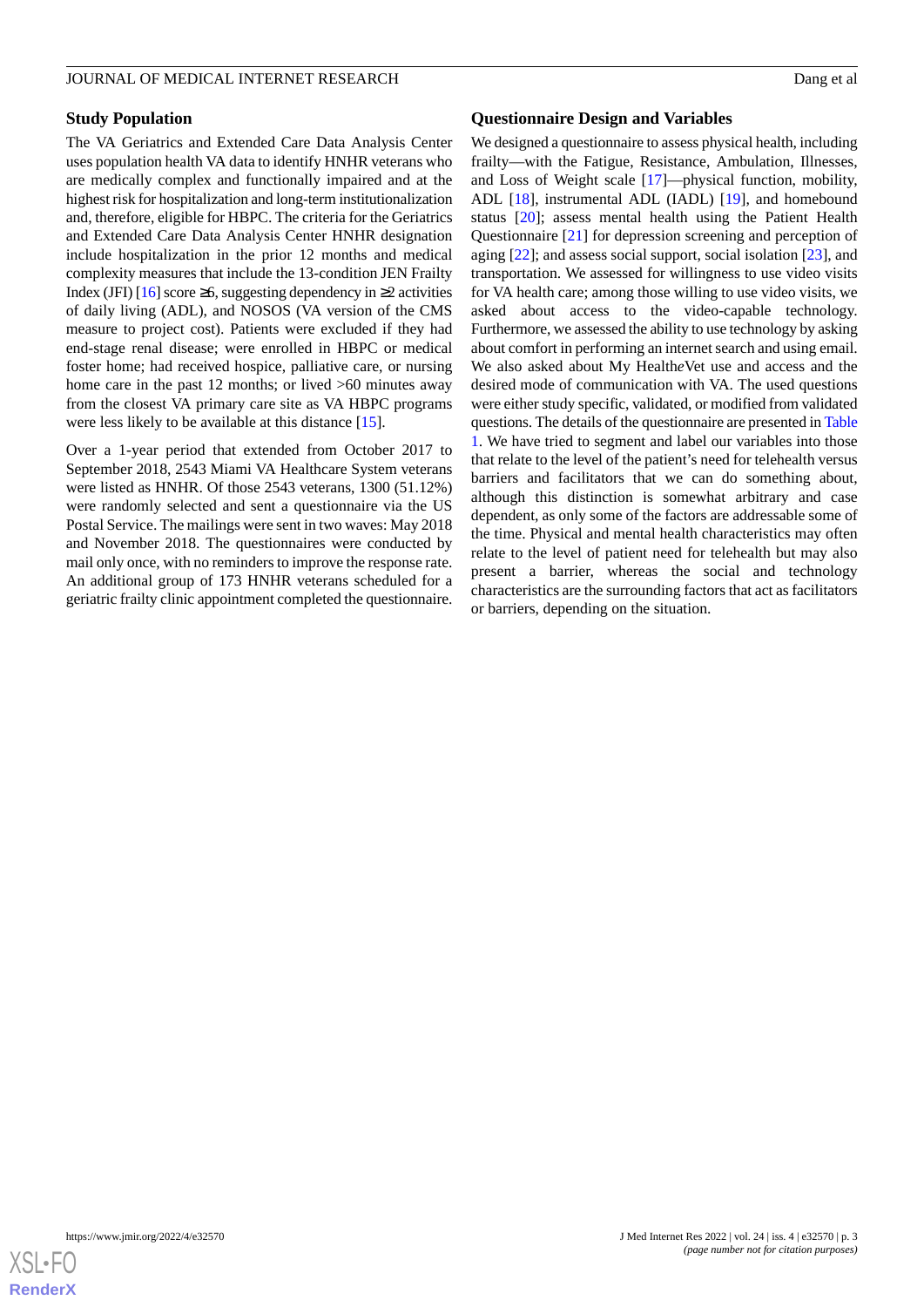# **Study Population**

The VA Geriatrics and Extended Care Data Analysis Center uses population health VA data to identify HNHR veterans who are medically complex and functionally impaired and at the highest risk for hospitalization and long-term institutionalization and, therefore, eligible for HBPC. The criteria for the Geriatrics and Extended Care Data Analysis Center HNHR designation include hospitalization in the prior 12 months and medical complexity measures that include the 13-condition JEN Frailty Index (JFI) [[16](#page-13-1)] score  $\geq 6$ , suggesting dependency in  $\geq 2$  activities of daily living (ADL), and NOSOS (VA version of the CMS measure to project cost). Patients were excluded if they had end-stage renal disease; were enrolled in HBPC or medical foster home; had received hospice, palliative care, or nursing home care in the past 12 months; or lived  $>60$  minutes away from the closest VA primary care site as VA HBPC programs were less likely to be available at this distance [[15\]](#page-13-0).

Over a 1-year period that extended from October 2017 to September 2018, 2543 Miami VA Healthcare System veterans were listed as HNHR. Of those 2543 veterans, 1300 (51.12%) were randomly selected and sent a questionnaire via the US Postal Service. The mailings were sent in two waves: May 2018 and November 2018. The questionnaires were conducted by mail only once, with no reminders to improve the response rate. An additional group of 173 HNHR veterans scheduled for a geriatric frailty clinic appointment completed the questionnaire.

### **Questionnaire Design and Variables**

We designed a questionnaire to assess physical health, including frailty—with the Fatigue, Resistance, Ambulation, Illnesses, and Loss of Weight scale [[17\]](#page-13-2)—physical function, mobility, ADL [\[18](#page-13-3)], instrumental ADL (IADL) [\[19](#page-13-4)], and homebound status [\[20](#page-13-5)]; assess mental health using the Patient Health Questionnaire [[21\]](#page-13-6) for depression screening and perception of aging [[22\]](#page-13-7); and assess social support, social isolation [\[23](#page-13-8)], and transportation. We assessed for willingness to use video visits for VA health care; among those willing to use video visits, we asked about access to the video-capable technology. Furthermore, we assessed the ability to use technology by asking about comfort in performing an internet search and using email. We also asked about My Health*e*Vet use and access and the desired mode of communication with VA. The used questions were either study specific, validated, or modified from validated questions. The details of the questionnaire are presented in [Table](#page-3-0) [1.](#page-3-0) We have tried to segment and label our variables into those that relate to the level of the patient's need for telehealth versus barriers and facilitators that we can do something about, although this distinction is somewhat arbitrary and case dependent, as only some of the factors are addressable some of the time. Physical and mental health characteristics may often relate to the level of patient need for telehealth but may also present a barrier, whereas the social and technology characteristics are the surrounding factors that act as facilitators or barriers, depending on the situation.

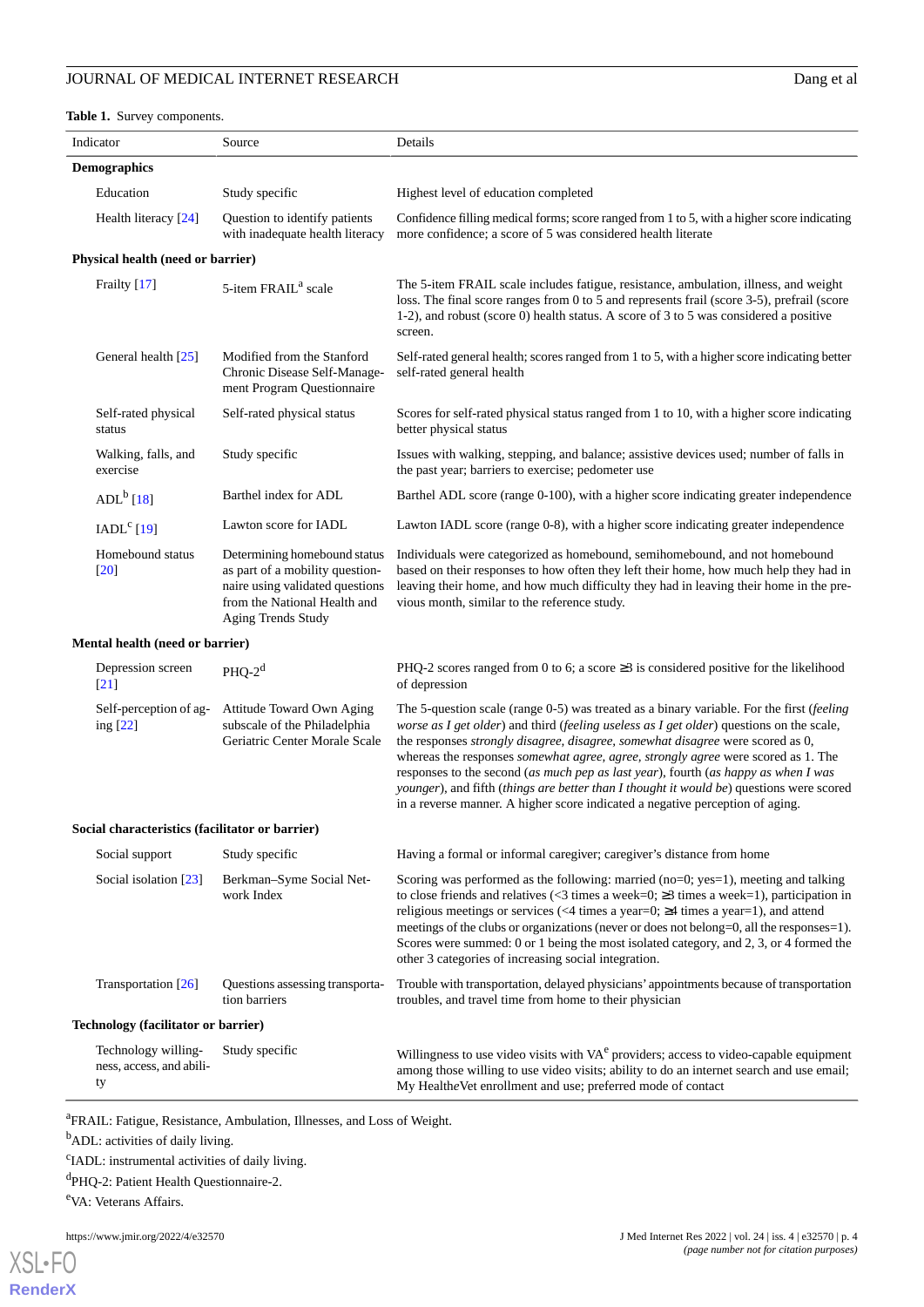# JOURNAL OF MEDICAL INTERNET RESEARCH

# <span id="page-3-0"></span>**Table 1.** Survey components.

| Dang et al |  |
|------------|--|
|------------|--|

|                     | Indicator                                       | Source                                                                                                                                                   | Details                                                                                                                                                                                                                                                                                                                                                                                                                                                                                                                                                                                                                             |  |
|---------------------|-------------------------------------------------|----------------------------------------------------------------------------------------------------------------------------------------------------------|-------------------------------------------------------------------------------------------------------------------------------------------------------------------------------------------------------------------------------------------------------------------------------------------------------------------------------------------------------------------------------------------------------------------------------------------------------------------------------------------------------------------------------------------------------------------------------------------------------------------------------------|--|
| <b>Demographics</b> |                                                 |                                                                                                                                                          |                                                                                                                                                                                                                                                                                                                                                                                                                                                                                                                                                                                                                                     |  |
|                     | Education                                       | Study specific                                                                                                                                           | Highest level of education completed                                                                                                                                                                                                                                                                                                                                                                                                                                                                                                                                                                                                |  |
|                     | Health literacy [24]                            | Question to identify patients<br>with inadequate health literacy                                                                                         | Confidence filling medical forms; score ranged from 1 to 5, with a higher score indicating<br>more confidence; a score of 5 was considered health literate                                                                                                                                                                                                                                                                                                                                                                                                                                                                          |  |
|                     | Physical health (need or barrier)               |                                                                                                                                                          |                                                                                                                                                                                                                                                                                                                                                                                                                                                                                                                                                                                                                                     |  |
|                     | Frailty [17]                                    | 5-item FRAIL <sup>a</sup> scale                                                                                                                          | The 5-item FRAIL scale includes fatigue, resistance, ambulation, illness, and weight<br>loss. The final score ranges from 0 to 5 and represents frail (score 3-5), prefrail (score<br>1-2), and robust (score 0) health status. A score of 3 to 5 was considered a positive<br>screen.                                                                                                                                                                                                                                                                                                                                              |  |
|                     | General health [25]                             | Modified from the Stanford<br>Chronic Disease Self-Manage-<br>ment Program Questionnaire                                                                 | Self-rated general health; scores ranged from 1 to 5, with a higher score indicating better<br>self-rated general health                                                                                                                                                                                                                                                                                                                                                                                                                                                                                                            |  |
|                     | Self-rated physical<br>status                   | Self-rated physical status                                                                                                                               | Scores for self-rated physical status ranged from 1 to 10, with a higher score indicating<br>better physical status                                                                                                                                                                                                                                                                                                                                                                                                                                                                                                                 |  |
|                     | Walking, falls, and<br>exercise                 | Study specific                                                                                                                                           | Issues with walking, stepping, and balance; assistive devices used; number of falls in<br>the past year; barriers to exercise; pedometer use                                                                                                                                                                                                                                                                                                                                                                                                                                                                                        |  |
|                     | $ADL^b$ [18]                                    | Barthel index for ADL                                                                                                                                    | Barthel ADL score (range 0-100), with a higher score indicating greater independence                                                                                                                                                                                                                                                                                                                                                                                                                                                                                                                                                |  |
|                     | IADL <sup>c</sup> [19]                          | Lawton score for IADL                                                                                                                                    | Lawton IADL score (range 0-8), with a higher score indicating greater independence                                                                                                                                                                                                                                                                                                                                                                                                                                                                                                                                                  |  |
|                     | Homebound status<br>$[20]$                      | Determining homebound status<br>as part of a mobility question-<br>naire using validated questions<br>from the National Health and<br>Aging Trends Study | Individuals were categorized as homebound, semihomebound, and not homebound<br>based on their responses to how often they left their home, how much help they had in<br>leaving their home, and how much difficulty they had in leaving their home in the pre-<br>vious month, similar to the reference study.                                                                                                                                                                                                                                                                                                                      |  |
|                     | Mental health (need or barrier)                 |                                                                                                                                                          |                                                                                                                                                                                                                                                                                                                                                                                                                                                                                                                                                                                                                                     |  |
|                     | Depression screen<br>$\left[21\right]$          | $PHQ-2d$                                                                                                                                                 | PHQ-2 scores ranged from 0 to 6; a score $\geq$ 3 is considered positive for the likelihood<br>of depression                                                                                                                                                                                                                                                                                                                                                                                                                                                                                                                        |  |
|                     | Self-perception of ag-<br>ing $[22]$            | Attitude Toward Own Aging<br>subscale of the Philadelphia<br>Geriatric Center Morale Scale                                                               | The 5-question scale (range 0-5) was treated as a binary variable. For the first (feeling<br>worse as $I$ get older) and third (feeling useless as $I$ get older) questions on the scale,<br>the responses strongly disagree, disagree, somewhat disagree were scored as 0,<br>whereas the responses somewhat agree, agree, strongly agree were scored as 1. The<br>responses to the second (as much pep as last year), fourth (as happy as when I was<br>younger), and fifth (things are better than I thought it would be) questions were scored<br>in a reverse manner. A higher score indicated a negative perception of aging. |  |
|                     | Social characteristics (facilitator or barrier) |                                                                                                                                                          |                                                                                                                                                                                                                                                                                                                                                                                                                                                                                                                                                                                                                                     |  |
|                     | Social support                                  | Study specific                                                                                                                                           | Having a formal or informal caregiver; caregiver's distance from home                                                                                                                                                                                                                                                                                                                                                                                                                                                                                                                                                               |  |
|                     | Social isolation [23]                           | Berkman-Syme Social Net-<br>work Index                                                                                                                   | Scoring was performed as the following: married ( $no=0$ ; $yes=1$ ), meeting and talking<br>to close friends and relatives (<3 times a week=0; $\geq$ 3 times a week=1), participation in<br>religious meetings or services (<4 times a year=0; $\geq$ 4 times a year=1), and attend<br>meetings of the clubs or organizations (never or does not belong=0, all the responses=1).<br>Scores were summed: 0 or 1 being the most isolated category, and 2, 3, or 4 formed the<br>other 3 categories of increasing social integration.                                                                                                |  |
|                     | Transportation [26]                             | Questions assessing transporta-<br>tion barriers                                                                                                         | Trouble with transportation, delayed physicians' appointments because of transportation<br>troubles, and travel time from home to their physician                                                                                                                                                                                                                                                                                                                                                                                                                                                                                   |  |
|                     | Technology (facilitator or barrier)             |                                                                                                                                                          |                                                                                                                                                                                                                                                                                                                                                                                                                                                                                                                                                                                                                                     |  |
|                     | Technology willing-<br>ness, access, and abili- | Study specific                                                                                                                                           | Willingness to use video visits with VA <sup>e</sup> providers; access to video-capable equipment<br>among those willing to use video visits; ability to do an internet search and use email;                                                                                                                                                                                                                                                                                                                                                                                                                                       |  |

My Health*e*Vet enrollment and use; preferred mode of contact

<sup>a</sup>FRAIL: Fatigue, Resistance, Ambulation, Illnesses, and Loss of Weight.

<sup>b</sup>ADL: activities of daily living.

<sup>c</sup>IADL: instrumental activities of daily living.

d PHQ-2: Patient Health Questionnaire-2.

<sup>e</sup>VA: Veterans Affairs.

ty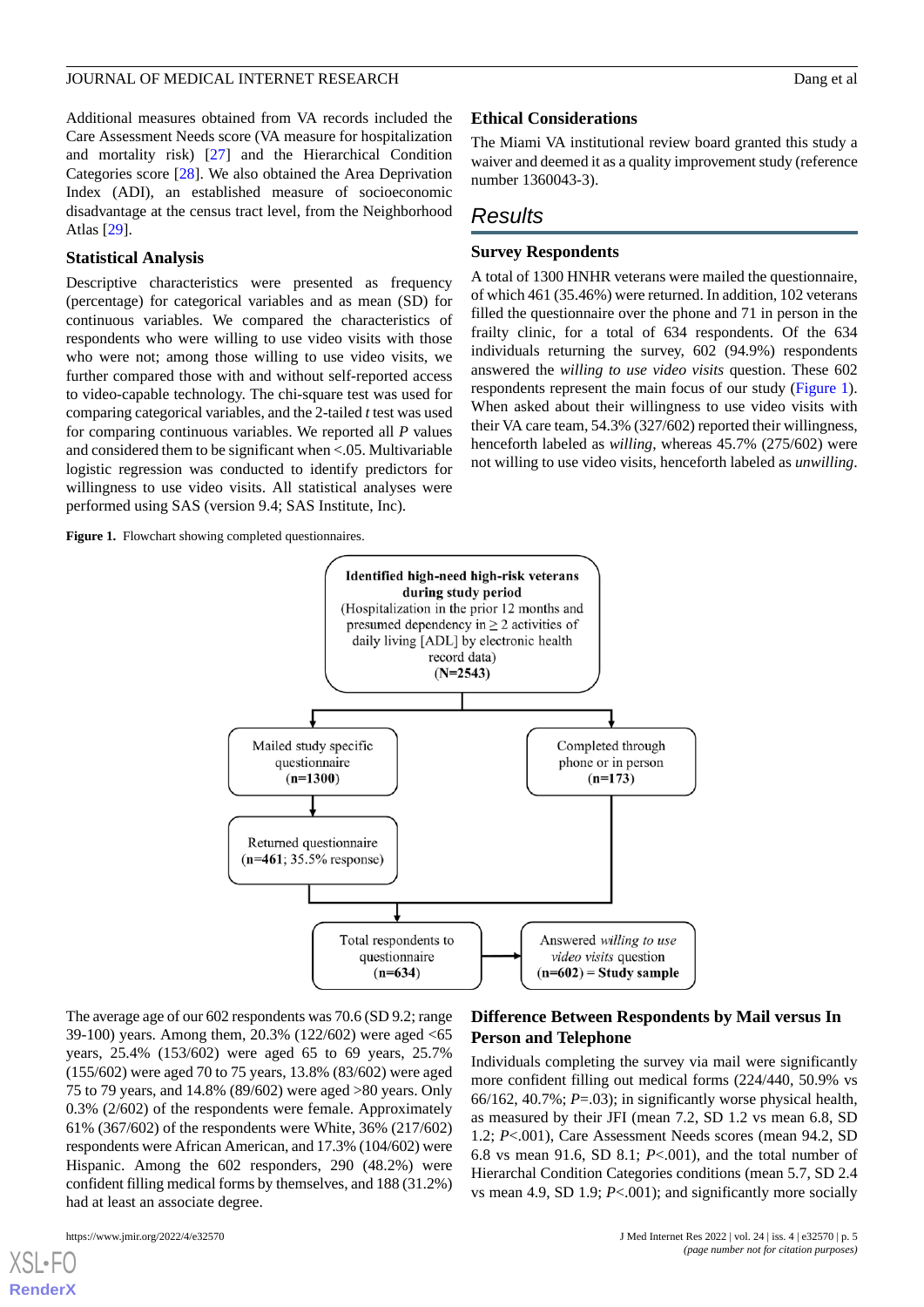### JOURNAL OF MEDICAL INTERNET RESEARCH DANG THE SERIES OF A LOOP CONTROL OF MEDICAL INTERNET RESEARCH

Additional measures obtained from VA records included the Care Assessment Needs score (VA measure for hospitalization and mortality risk) [\[27](#page-13-12)] and the Hierarchical Condition Categories score [[28\]](#page-13-13). We also obtained the Area Deprivation Index (ADI), an established measure of socioeconomic disadvantage at the census tract level, from the Neighborhood Atlas [[29\]](#page-13-14).

# **Statistical Analysis**

Descriptive characteristics were presented as frequency (percentage) for categorical variables and as mean (SD) for continuous variables. We compared the characteristics of respondents who were willing to use video visits with those who were not; among those willing to use video visits, we further compared those with and without self-reported access to video-capable technology. The chi-square test was used for comparing categorical variables, and the 2-tailed *t*test was used for comparing continuous variables. We reported all *P* values and considered them to be significant when <.05. Multivariable logistic regression was conducted to identify predictors for willingness to use video visits. All statistical analyses were performed using SAS (version 9.4; SAS Institute, Inc).

<span id="page-4-0"></span>Figure 1. Flowchart showing completed questionnaires.

### **Ethical Considerations**

The Miami VA institutional review board granted this study a waiver and deemed it as a quality improvement study (reference number 1360043-3).

# *Results*

# **Survey Respondents**

A total of 1300 HNHR veterans were mailed the questionnaire, of which 461 (35.46%) were returned. In addition, 102 veterans filled the questionnaire over the phone and 71 in person in the frailty clinic, for a total of 634 respondents. Of the 634 individuals returning the survey, 602 (94.9%) respondents answered the *willing to use video visits* question. These 602 respondents represent the main focus of our study ([Figure 1\)](#page-4-0). When asked about their willingness to use video visits with their VA care team, 54.3% (327/602) reported their willingness, henceforth labeled as *willing*, whereas 45.7% (275/602) were not willing to use video visits, henceforth labeled as *unwilling*.



The average age of our 602 respondents was 70.6 (SD 9.2; range 39-100) years. Among them, 20.3% (122/602) were aged <65 years, 25.4% (153/602) were aged 65 to 69 years, 25.7% (155/602) were aged 70 to 75 years, 13.8% (83/602) were aged 75 to 79 years, and 14.8% (89/602) were aged >80 years. Only 0.3% (2/602) of the respondents were female. Approximately 61% (367/602) of the respondents were White, 36% (217/602) respondents were African American, and 17.3% (104/602) were Hispanic. Among the 602 responders, 290 (48.2%) were confident filling medical forms by themselves, and 188 (31.2%) had at least an associate degree.

# **Difference Between Respondents by Mail versus In Person and Telephone**

Individuals completing the survey via mail were significantly more confident filling out medical forms (224/440, 50.9% vs 66/162, 40.7%; *P*=.03); in significantly worse physical health, as measured by their JFI (mean 7.2, SD 1.2 vs mean 6.8, SD 1.2; *P*<.001), Care Assessment Needs scores (mean 94.2, SD 6.8 vs mean 91.6, SD 8.1; *P*<.001), and the total number of Hierarchal Condition Categories conditions (mean 5.7, SD 2.4 vs mean 4.9, SD 1.9; *P*<.001); and significantly more socially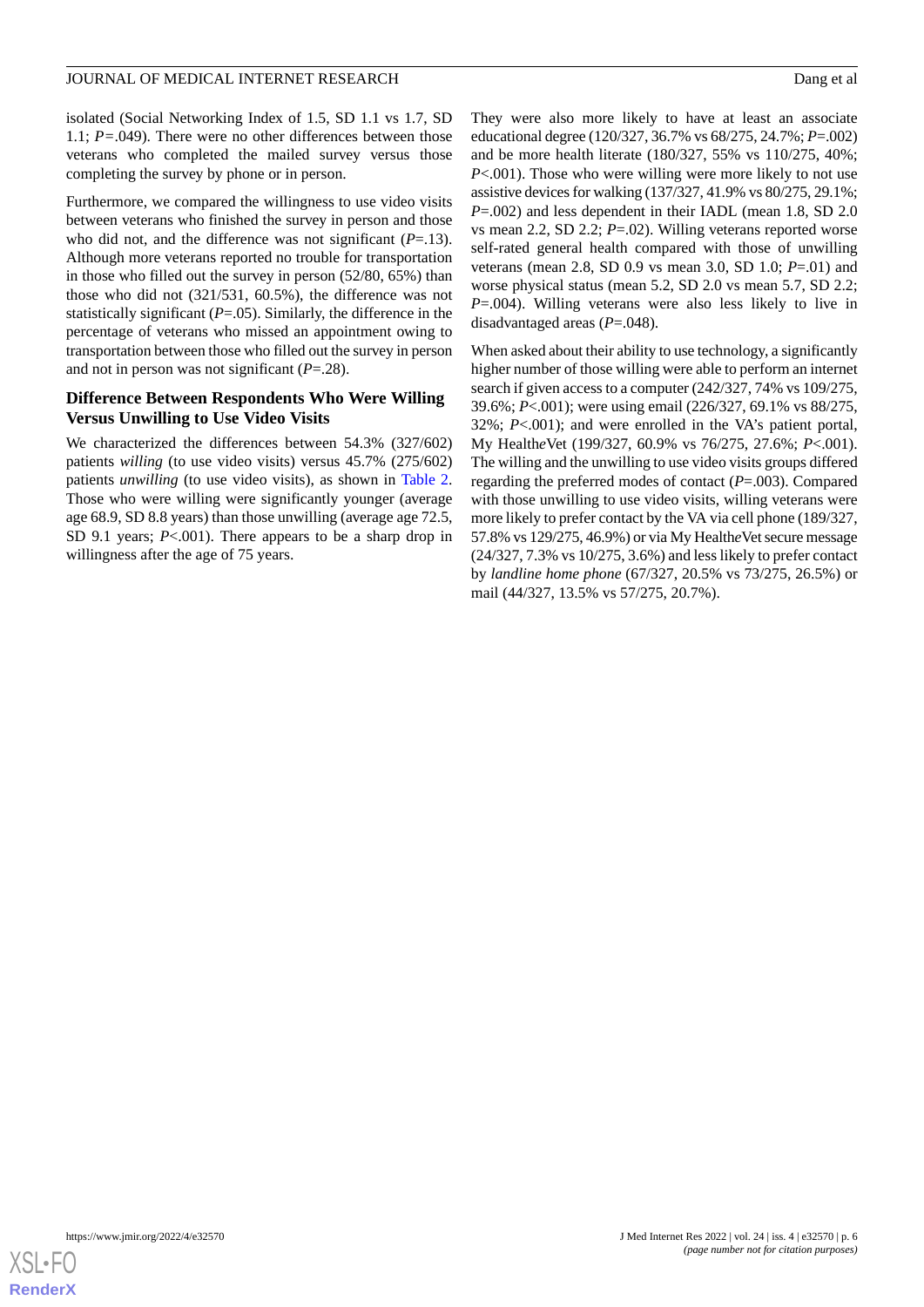### JOURNAL OF MEDICAL INTERNET RESEARCH DANG THE SERIES OF A LOOP CONTROL OF MEDICAL INTERNET RESEARCH

isolated (Social Networking Index of 1.5, SD 1.1 vs 1.7, SD 1.1; *P=*.049). There were no other differences between those veterans who completed the mailed survey versus those completing the survey by phone or in person.

Furthermore, we compared the willingness to use video visits between veterans who finished the survey in person and those who did not, and the difference was not significant (*P*=.13). Although more veterans reported no trouble for transportation in those who filled out the survey in person (52/80, 65%) than those who did not (321/531, 60.5%), the difference was not statistically significant (*P*=.05). Similarly, the difference in the percentage of veterans who missed an appointment owing to transportation between those who filled out the survey in person and not in person was not significant (*P*=.28).

# **Difference Between Respondents Who Were Willing Versus Unwilling to Use Video Visits**

We characterized the differences between 54.3% (327/602) patients *willing* (to use video visits) versus 45.7% (275/602) patients *unwilling* (to use video visits), as shown in [Table 2](#page-6-0). Those who were willing were significantly younger (average age 68.9, SD 8.8 years) than those unwilling (average age 72.5, SD 9.1 years; *P*<.001). There appears to be a sharp drop in willingness after the age of 75 years.

They were also more likely to have at least an associate educational degree (120/327, 36.7% vs 68/275, 24.7%; *P*=.002) and be more health literate (180/327, 55% vs 110/275, 40%; *P*<.001). Those who were willing were more likely to not use assistive devices for walking (137/327, 41.9% vs 80/275, 29.1%; *P*=.002) and less dependent in their IADL (mean 1.8, SD 2.0 vs mean 2.2, SD 2.2; *P*=.02). Willing veterans reported worse self-rated general health compared with those of unwilling veterans (mean 2.8, SD 0.9 vs mean 3.0, SD 1.0; *P*=.01) and worse physical status (mean 5.2, SD 2.0 vs mean 5.7, SD 2.2; *P*=.004). Willing veterans were also less likely to live in disadvantaged areas (*P*=.048).

When asked about their ability to use technology, a significantly higher number of those willing were able to perform an internet search if given access to a computer (242/327, 74% vs 109/275, 39.6%; *P*<.001); were using email (226/327, 69.1% vs 88/275, 32%; *P*<.001); and were enrolled in the VA's patient portal, My Health*e*Vet (199/327, 60.9% vs 76/275, 27.6%; *P*<.001). The willing and the unwilling to use video visits groups differed regarding the preferred modes of contact (*P*=.003). Compared with those unwilling to use video visits, willing veterans were more likely to prefer contact by the VA via cell phone (189/327, 57.8% vs 129/275, 46.9%) or via My Health*e*Vet secure message (24/327, 7.3% vs 10/275, 3.6%) and less likely to prefer contact by *landline home phone* (67/327, 20.5% vs 73/275, 26.5%) or mail (44/327, 13.5% vs 57/275, 20.7%).

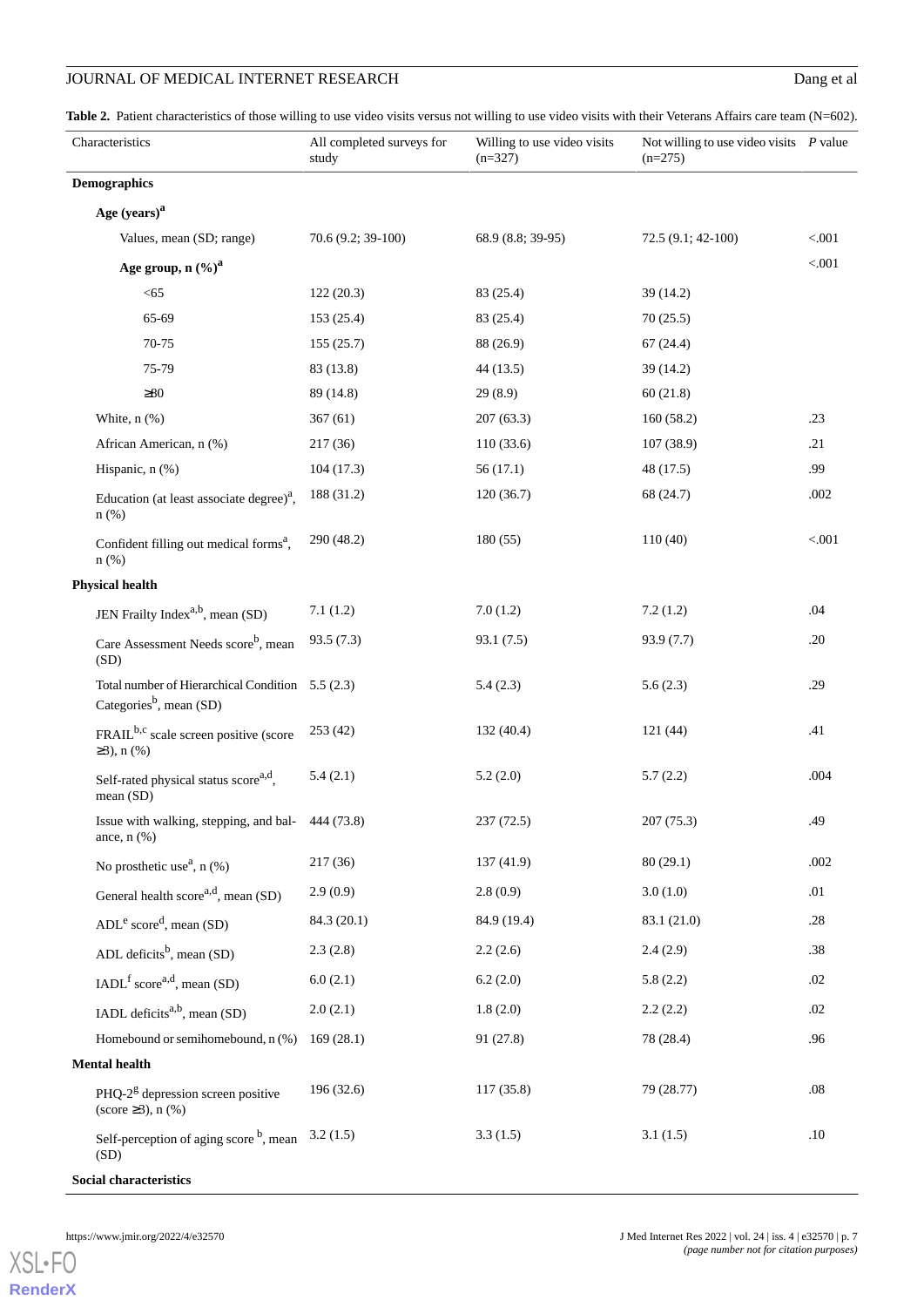# **JOURNAL OF MEDICAL INTERNET RESEARCH** Dang et al

<span id="page-6-0"></span>Table 2. Patient characteristics of those willing to use video visits versus not willing to use video visits with their Veterans Affairs care team (N=602).

| Characteristics                                                                         | All completed surveys for<br>study | Willing to use video visits<br>$(n=327)$ | Not willing to use video visits $P$ value<br>$(n=275)$ |        |
|-----------------------------------------------------------------------------------------|------------------------------------|------------------------------------------|--------------------------------------------------------|--------|
| <b>Demographics</b>                                                                     |                                    |                                          |                                                        |        |
| Age (years) <sup>a</sup>                                                                |                                    |                                          |                                                        |        |
| Values, mean (SD; range)                                                                | 70.6 (9.2; 39-100)                 | 68.9 (8.8; 39-95)                        | 72.5 (9.1; 42-100)                                     | < .001 |
| Age group, $n (%)a$                                                                     |                                    |                                          |                                                        | < .001 |
| $< 65$                                                                                  | 122(20.3)                          | 83 (25.4)                                | 39 (14.2)                                              |        |
| 65-69                                                                                   | 153(25.4)                          | 83 (25.4)                                | 70(25.5)                                               |        |
| 70-75                                                                                   | 155 (25.7)                         | 88 (26.9)                                | 67(24.4)                                               |        |
| 75-79                                                                                   | 83 (13.8)                          | 44(13.5)                                 | 39(14.2)                                               |        |
| $\geq 80$                                                                               | 89 (14.8)                          | 29(8.9)                                  | 60(21.8)                                               |        |
| White, $n$ $%$                                                                          | 367(61)                            | 207(63.3)                                | 160(58.2)                                              | .23    |
| African American, n (%)                                                                 | 217(36)                            | 110(33.6)                                | 107 (38.9)                                             | .21    |
| Hispanic, n (%)                                                                         | 104(17.3)                          | 56(17.1)                                 | 48 (17.5)                                              | .99    |
| Education (at least associate degree) <sup><math>a</math></sup> ,<br>$n$ (%)            | 188 (31.2)                         | 120(36.7)                                | 68 (24.7)                                              | .002   |
| Confident filling out medical forms <sup>a</sup> ,<br>$n$ (%)                           | 290 (48.2)                         | 180(55)                                  | 110(40)                                                | < .001 |
| <b>Physical health</b>                                                                  |                                    |                                          |                                                        |        |
| JEN Frailty Index <sup>a,b</sup> , mean (SD)                                            | 7.1(1.2)                           | 7.0(1.2)                                 | 7.2(1.2)                                               | .04    |
| Care Assessment Needs score <sup>b</sup> , mean<br>(SD)                                 | 93.5(7.3)                          | 93.1(7.5)                                | 93.9 (7.7)                                             | .20    |
| Total number of Hierarchical Condition 5.5 (2.3)<br>Categories <sup>b</sup> , mean (SD) |                                    | 5.4(2.3)                                 | 5.6(2.3)                                               | .29    |
| FRAIL <sup>b,c</sup> scale screen positive (score<br>$\geq 3$ ), n (%)                  | 253 (42)                           | 132(40.4)                                | 121(44)                                                | .41    |
| Self-rated physical status score <sup>a,d</sup> ,<br>mean (SD)                          | 5.4(2.1)                           | 5.2(2.0)                                 | 5.7(2.2)                                               | .004   |
| Issue with walking, stepping, and bal- 444 (73.8)<br>ance, $n$ $(\%)$                   |                                    | 237 (72.5)                               | 207 (75.3)                                             | .49    |
| No prosthetic use <sup><math>a</math></sup> , n $(\%)$                                  | 217(36)                            | 137(41.9)                                | 80(29.1)                                               | .002   |
| General health score <sup>a,d</sup> , mean $(SD)$                                       | 2.9(0.9)                           | 2.8(0.9)                                 | 3.0(1.0)                                               | .01    |
| $ADLe scored$ , mean (SD)                                                               | 84.3 (20.1)                        | 84.9 (19.4)                              | 83.1 (21.0)                                            | .28    |
| ADL deficits <sup>b</sup> , mean (SD)                                                   | 2.3(2.8)                           | 2.2(2.6)                                 | 2.4(2.9)                                               | .38    |
| IADL <sup>f</sup> score <sup>a,d</sup> , mean (SD)                                      | 6.0(2.1)                           | 6.2(2.0)                                 | 5.8(2.2)                                               | .02    |
| IADL deficits <sup>a,b</sup> , mean (SD)                                                | 2.0(2.1)                           | 1.8(2.0)                                 | 2.2(2.2)                                               | .02    |
| Homebound or semihomebound, n (%)                                                       | 169(28.1)                          | 91 (27.8)                                | 78 (28.4)                                              | .96    |
| <b>Mental health</b>                                                                    |                                    |                                          |                                                        |        |
| PHQ- $2g$ depression screen positive<br>$(\text{score } \geq 3), n (\%)$                | 196 (32.6)                         | 117(35.8)                                | 79 (28.77)                                             | .08    |
| Self-perception of aging score <sup>b</sup> , mean<br>(SD)                              | 3.2(1.5)                           | 3.3(1.5)                                 | 3.1(1.5)                                               | .10    |

**Social characteristics**

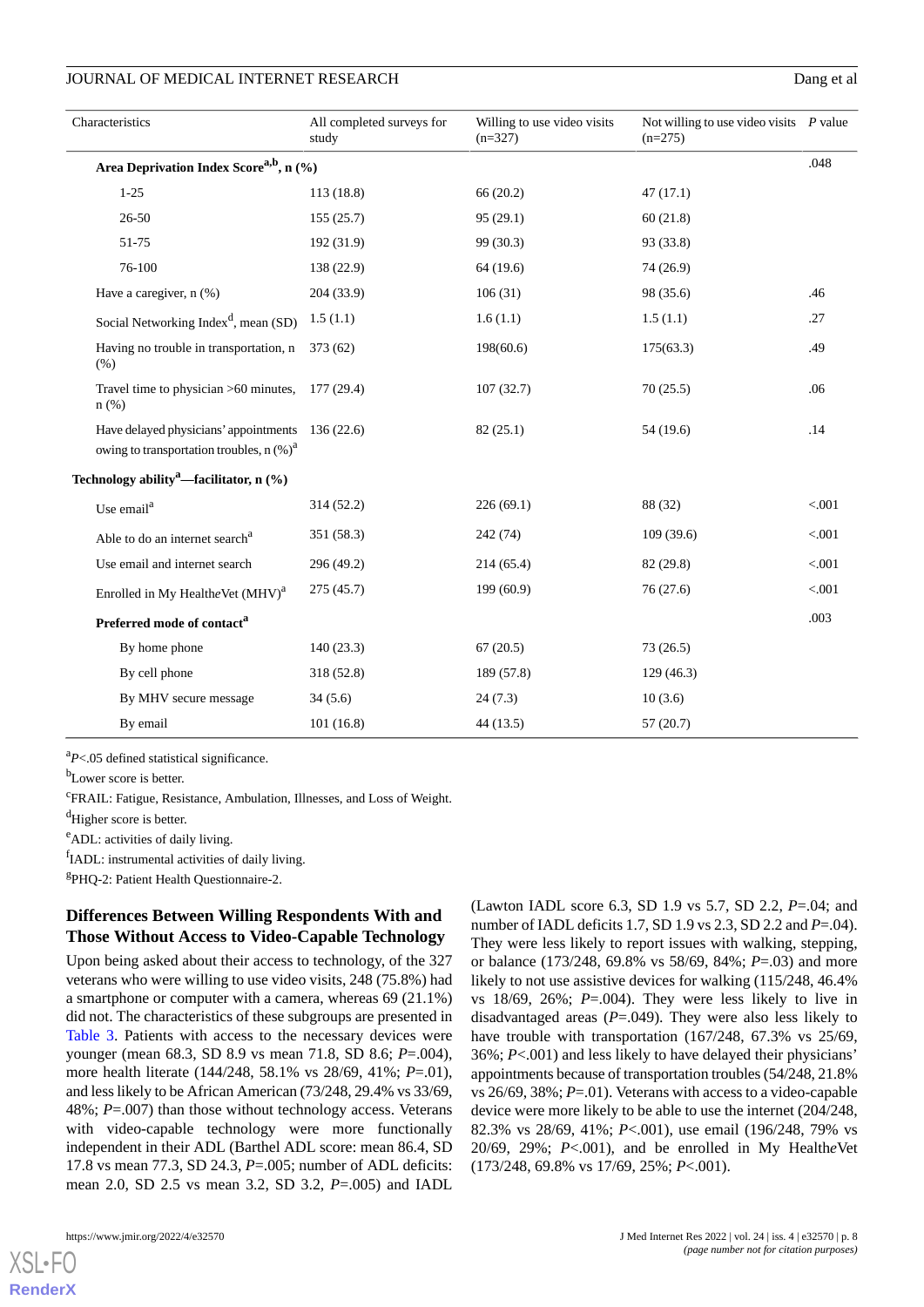### JOURNAL OF MEDICAL INTERNET RESEARCH DANGER AND A LOCAL TO DANGER AND DANGER AND DANGER AND DANGER AND DANGER AND DANGER AND DANGER AND DANGER AND DANGER AND DANGER AND A LOCAL TO DANGER AND DANGER AND DANGER AND DANGER AN

| Characteristics                                                                                 | All completed surveys for<br>study | Willing to use video visits<br>$(n=327)$ | Not willing to use video visits $P$ value<br>$(n=275)$ |         |
|-------------------------------------------------------------------------------------------------|------------------------------------|------------------------------------------|--------------------------------------------------------|---------|
| Area Deprivation Index Score <sup>a,b</sup> , n (%)                                             |                                    |                                          |                                                        | .048    |
| $1 - 25$                                                                                        | 113 (18.8)                         | 66 (20.2)                                | 47(17.1)                                               |         |
| 26-50                                                                                           | 155(25.7)                          | 95(29.1)                                 | 60(21.8)                                               |         |
| 51-75                                                                                           | 192 (31.9)                         | 99 (30.3)                                | 93 (33.8)                                              |         |
| 76-100                                                                                          | 138 (22.9)                         | 64 (19.6)                                | 74 (26.9)                                              |         |
| Have a caregiver, n (%)                                                                         | 204(33.9)                          | 106(31)                                  | 98 (35.6)                                              | .46     |
| Social Networking Index <sup>d</sup> , mean (SD)                                                | 1.5(1.1)                           | 1.6(1.1)                                 | 1.5(1.1)                                               | .27     |
| Having no trouble in transportation, n<br>(% )                                                  | 373(62)                            | 198(60.6)                                | 175(63.3)                                              | .49     |
| Travel time to physician >60 minutes,<br>$n$ (%)                                                | 177(29.4)                          | 107(32.7)                                | 70(25.5)                                               | .06     |
| Have delayed physicians' appointments<br>owing to transportation troubles, $n$ (%) <sup>a</sup> | 136(22.6)                          | 82(25.1)                                 | 54 (19.6)                                              | .14     |
| Technology ability <sup>a</sup> —facilitator, n (%)                                             |                                    |                                          |                                                        |         |
| Use email <sup>a</sup>                                                                          | 314(52.2)                          | 226(69.1)                                | 88 (32)                                                | < .001  |
| Able to do an internet search <sup>a</sup>                                                      | 351 (58.3)                         | 242 (74)                                 | 109(39.6)                                              | < 0.001 |
| Use email and internet search                                                                   | 296 (49.2)                         | 214(65.4)                                | 82 (29.8)                                              | < .001  |
| Enrolled in My HealtheVet (MHV) <sup>a</sup>                                                    | 275(45.7)                          | 199(60.9)                                | 76(27.6)                                               | < .001  |
| Preferred mode of contact <sup>a</sup>                                                          |                                    |                                          |                                                        | .003    |
| By home phone                                                                                   | 140(23.3)                          | 67(20.5)                                 | 73(26.5)                                               |         |
| By cell phone                                                                                   | 318 (52.8)                         | 189 (57.8)                               | 129(46.3)                                              |         |
| By MHV secure message                                                                           | 34(5.6)                            | 24(7.3)                                  | 10(3.6)                                                |         |
| By email                                                                                        | 101(16.8)                          | 44(13.5)                                 | 57(20.7)                                               |         |

<sup>a</sup>*P*<.05 defined statistical significance.

<sup>b</sup>Lower score is better.

<sup>c</sup>FRAIL: Fatigue, Resistance, Ambulation, Illnesses, and Loss of Weight.

<sup>d</sup>Higher score is better.

<sup>e</sup>ADL: activities of daily living.

fIADL: instrumental activities of daily living.

g PHQ-2: Patient Health Questionnaire-2.

# **Differences Between Willing Respondents With and Those Without Access to Video-Capable Technology**

Upon being asked about their access to technology, of the 327 veterans who were willing to use video visits, 248 (75.8%) had a smartphone or computer with a camera, whereas 69 (21.1%) did not. The characteristics of these subgroups are presented in [Table 3.](#page-8-0) Patients with access to the necessary devices were younger (mean 68.3, SD 8.9 vs mean 71.8, SD 8.6; *P*=.004), more health literate (144/248, 58.1% vs 28/69, 41%; *P*=.01), and less likely to be African American (73/248, 29.4% vs 33/69, 48%; *P*=.007) than those without technology access. Veterans with video-capable technology were more functionally independent in their ADL (Barthel ADL score: mean 86.4, SD 17.8 vs mean 77.3, SD 24.3, *P*=.005; number of ADL deficits: mean 2.0, SD 2.5 vs mean 3.2, SD 3.2, *P*=.005) and IADL

[XSL](http://www.w3.org/Style/XSL)•FO **[RenderX](http://www.renderx.com/)**

(Lawton IADL score 6.3, SD 1.9 vs 5.7, SD 2.2, *P*=.04; and number of IADL deficits 1.7, SD 1.9 vs 2.3, SD 2.2 and *P*=.04). They were less likely to report issues with walking, stepping, or balance (173/248, 69.8% vs 58/69, 84%; *P*=.03) and more likely to not use assistive devices for walking  $(115/248, 46.4\%)$ vs  $18/69$ ,  $26\%$ ;  $P=.004$ ). They were less likely to live in disadvantaged areas (*P*=.049). They were also less likely to have trouble with transportation (167/248, 67.3% vs 25/69, 36%; *P*<.001) and less likely to have delayed their physicians' appointments because of transportation troubles (54/248, 21.8% vs 26/69, 38%; *P*=.01). Veterans with access to a video-capable device were more likely to be able to use the internet (204/248, 82.3% vs 28/69, 41%; *P*<.001), use email (196/248, 79% vs 20/69, 29%; *P*<.001), and be enrolled in My Health*e*Vet (173/248, 69.8% vs 17/69, 25%; *P*<.001).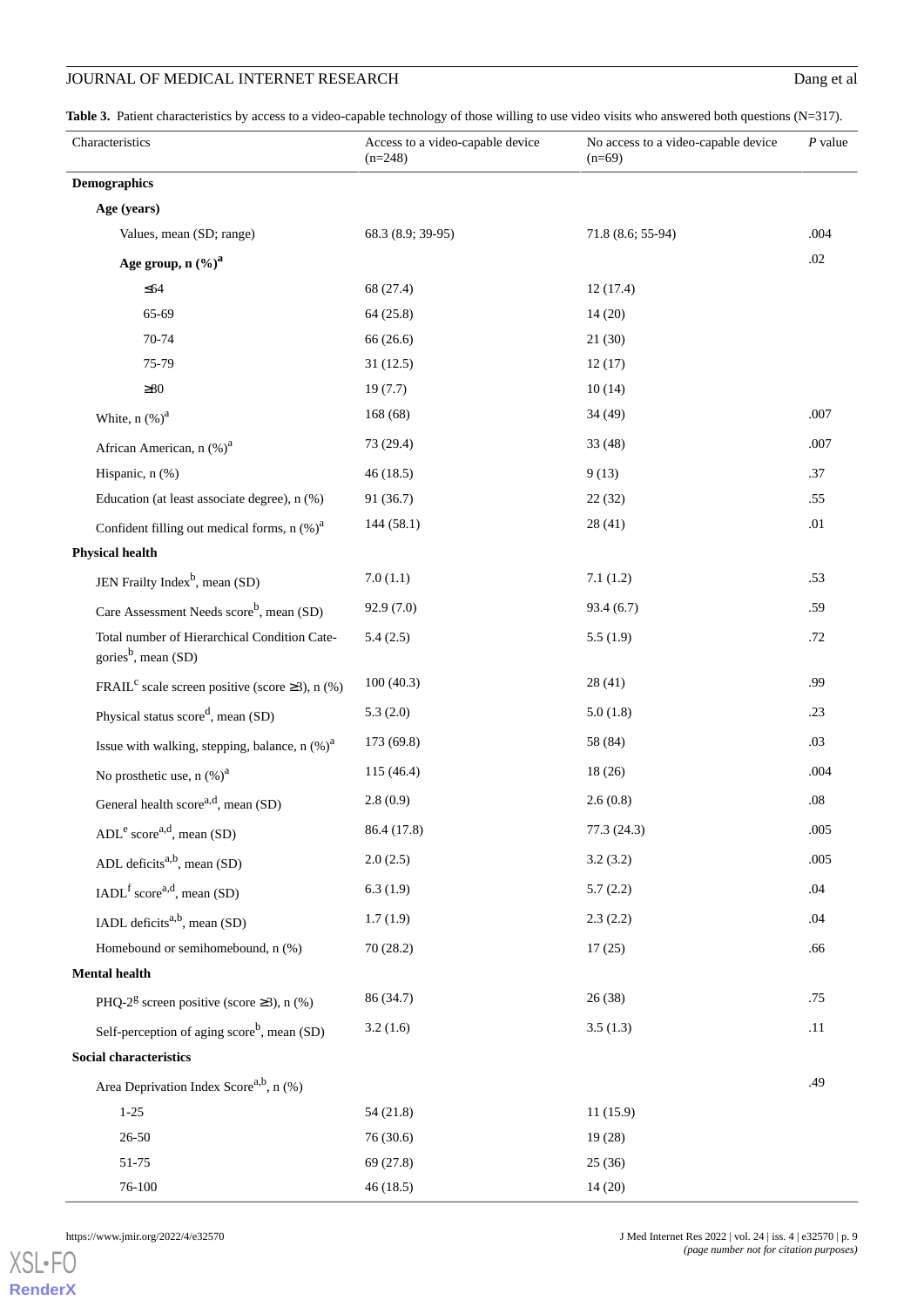# JOURNAL OF MEDICAL INTERNET RESEARCH Dang et al

<span id="page-8-0"></span>Table 3. Patient characteristics by access to a video-capable technology of those willing to use video visits who answered both questions (N=317).

| Characteristics                                                                 | Access to a video-capable device<br>$(n=248)$ | No access to a video-capable device<br>$(n=69)$ | $P$ value |
|---------------------------------------------------------------------------------|-----------------------------------------------|-------------------------------------------------|-----------|
| <b>Demographics</b>                                                             |                                               |                                                 |           |
| Age (years)                                                                     |                                               |                                                 |           |
| Values, mean (SD; range)                                                        | 68.3 (8.9; 39-95)                             | 71.8 (8.6; 55-94)                               | .004      |
| Age group, n $(\%)^a$                                                           |                                               |                                                 | .02       |
| $\leq 64$                                                                       | 68 (27.4)                                     | 12(17.4)                                        |           |
| 65-69                                                                           | 64(25.8)                                      | 14(20)                                          |           |
| 70-74                                                                           | 66 (26.6)                                     | 21(30)                                          |           |
| 75-79                                                                           | 31(12.5)                                      | 12(17)                                          |           |
| $\geq 80$                                                                       | 19(7.7)                                       | 10(14)                                          |           |
| White, $n$ $(\%)^a$                                                             | 168(68)                                       | 34(49)                                          | .007      |
| African American, n (%) <sup>a</sup>                                            | 73 (29.4)                                     | 33(48)                                          | .007      |
| Hispanic, n (%)                                                                 | 46(18.5)                                      | 9(13)                                           | .37       |
| Education (at least associate degree), n (%)                                    | 91 (36.7)                                     | 22(32)                                          | .55       |
| Confident filling out medical forms, $n$ $(\%)^a$                               | 144(58.1)                                     | 28(41)                                          | .01       |
| <b>Physical health</b>                                                          |                                               |                                                 |           |
| JEN Frailty Index <sup>b</sup> , mean (SD)                                      | 7.0(1.1)                                      | 7.1(1.2)                                        | .53       |
| Care Assessment Needs score <sup>b</sup> , mean (SD)                            | 92.9 (7.0)                                    | 93.4(6.7)                                       | .59       |
| Total number of Hierarchical Condition Cate-<br>gories <sup>b</sup> , mean (SD) | 5.4(2.5)                                      | 5.5(1.9)                                        | .72       |
| FRAIL <sup>c</sup> scale screen positive (score $\geq 3$ ), n (%)               | 100(40.3)                                     | 28(41)                                          | .99       |
| Physical status score <sup>d</sup> , mean (SD)                                  | 5.3(2.0)                                      | 5.0(1.8)                                        | .23       |
| Issue with walking, stepping, balance, $n$ (%) <sup>a</sup>                     | 173 (69.8)                                    | 58 (84)                                         | .03       |
| No prosthetic use, $n$ (%) <sup>a</sup>                                         | 115 (46.4)                                    | 18(26)                                          | .004      |
| General health score <sup>a,d</sup> , mean $(SD)$                               | 2.8(0.9)                                      | 2.6(0.8)                                        | $.08\,$   |
| $ADLe scorea,d$ , mean (SD)                                                     | 86.4 (17.8)                                   | 77.3 (24.3)                                     | .005      |
| ADL deficits <sup>a,b</sup> , mean (SD)                                         | 2.0(2.5)                                      | 3.2(3.2)                                        | .005      |
| $IADLf scorea,d$ , mean (SD)                                                    | 6.3(1.9)                                      | 5.7(2.2)                                        | .04       |
| IADL deficits <sup>a,b</sup> , mean (SD)                                        | 1.7(1.9)                                      | 2.3(2.2)                                        | .04       |
| Homebound or semihomebound, n (%)                                               | 70 (28.2)                                     | 17(25)                                          | .66       |
| <b>Mental health</b>                                                            |                                               |                                                 |           |
| PHQ-2 <sup>g</sup> screen positive (score $\geq$ 3), n (%)                      | 86 (34.7)                                     | 26(38)                                          | .75       |
| Self-perception of aging score <sup>b</sup> , mean (SD)                         | 3.2(1.6)                                      | 3.5(1.3)                                        | .11       |
| Social characteristics                                                          |                                               |                                                 |           |
| Area Deprivation Index Score <sup>a,b</sup> , $n$ (%)                           |                                               |                                                 | .49       |
| $1 - 25$                                                                        | 54(21.8)                                      | 11(15.9)                                        |           |
| 26-50                                                                           | 76 (30.6)                                     | 19(28)                                          |           |
| 51-75                                                                           | 69 (27.8)                                     | 25(36)                                          |           |
| 76-100                                                                          | 46(18.5)                                      | 14(20)                                          |           |

https://www.jmir.org/2022/4/e32570 J Med Internet Res 2022 | vol. 24 | iss. 4 | e32570 | p. 9 *(page number not for citation purposes)*

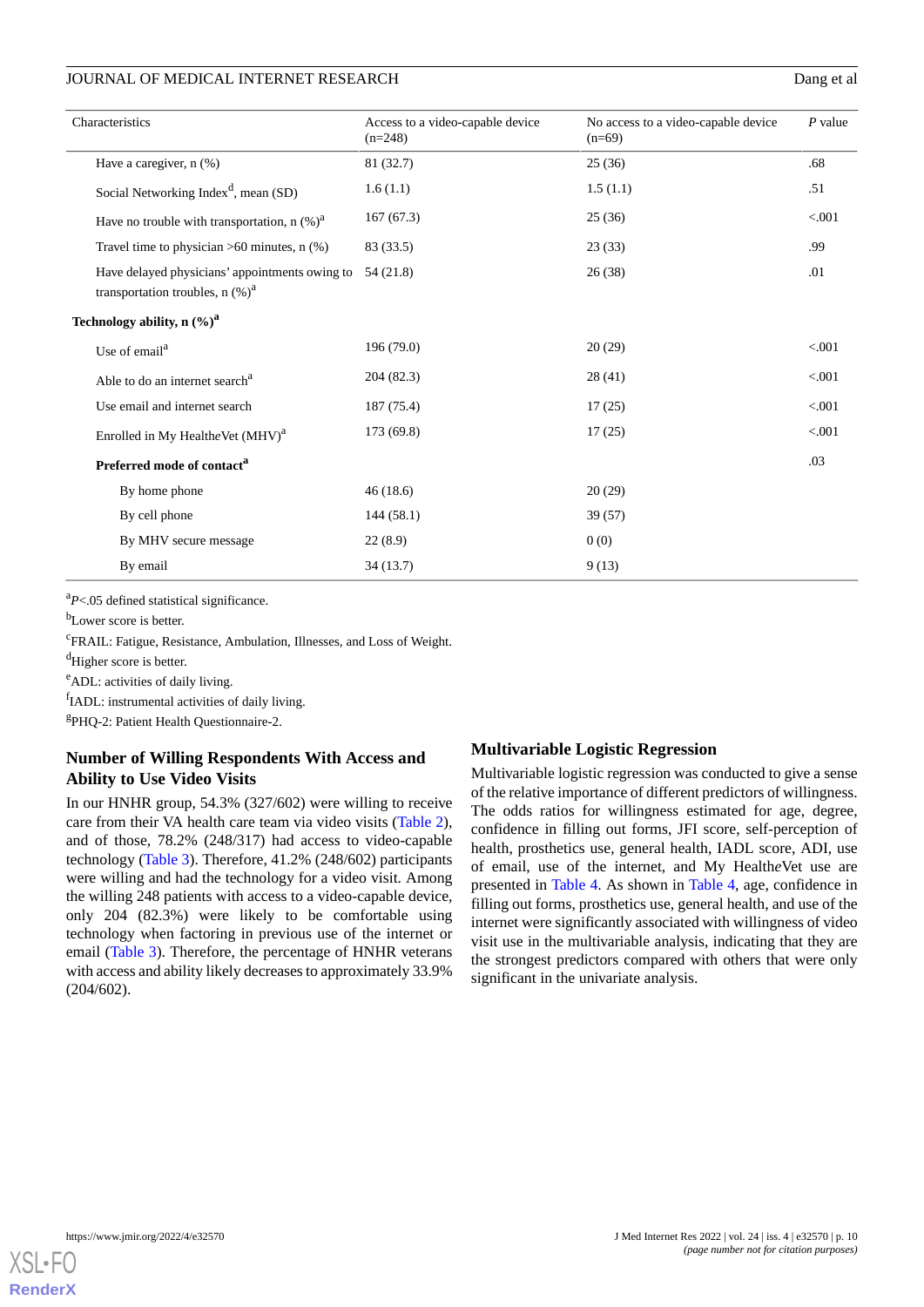# JOURNAL OF MEDICAL INTERNET RESEARCH Dang et al

| Characteristics                                                                       | Access to a video-capable device<br>$(n=248)$ | No access to a video-capable device<br>$(n=69)$ | $P$ value |
|---------------------------------------------------------------------------------------|-----------------------------------------------|-------------------------------------------------|-----------|
| Have a caregiver, n (%)                                                               | 81 (32.7)                                     | 25(36)                                          | .68       |
| Social Networking Index <sup>d</sup> , mean (SD)                                      | 1.6(1.1)                                      | 1.5(1.1)                                        | .51       |
| Have no trouble with transportation, n $(\%)^a$                                       | 167(67.3)                                     | 25(36)                                          | < 0.001   |
| Travel time to physician $>60$ minutes, n $(\%)$                                      | 83 (33.5)                                     | 23(33)                                          | .99       |
| Have delayed physicians' appointments owing to<br>transportation troubles, n $(\%)^a$ | 54 (21.8)                                     | 26(38)                                          | .01       |
| Technology ability, $n (%)^a$                                                         |                                               |                                                 |           |
| Use of email <sup>a</sup>                                                             | 196 (79.0)                                    | 20(29)                                          | < 0.001   |
| Able to do an internet search <sup>a</sup>                                            | 204 (82.3)                                    | 28(41)                                          | < 0.001   |
| Use email and internet search                                                         | 187 (75.4)                                    | 17(25)                                          | < 0.001   |
| Enrolled in My Healthe Vet $(MHV)^a$                                                  | 173 (69.8)                                    | 17(25)                                          | < 0.001   |
| Preferred mode of contact <sup>a</sup>                                                |                                               |                                                 | .03       |
| By home phone                                                                         | 46(18.6)                                      | 20(29)                                          |           |
| By cell phone                                                                         | 144(58.1)                                     | 39 (57)                                         |           |
| By MHV secure message                                                                 | 22(8.9)                                       | 0(0)                                            |           |
| By email                                                                              | 34(13.7)                                      | 9(13)                                           |           |

<sup>a</sup>P<.05 defined statistical significance.

b<sub>Lower</sub> score is better.

<sup>c</sup>FRAIL: Fatigue, Resistance, Ambulation, Illnesses, and Loss of Weight.

<sup>d</sup>Higher score is better.

<sup>e</sup>ADL: activities of daily living.

fIADL: instrumental activities of daily living.

g PHQ-2: Patient Health Questionnaire-2.

# **Number of Willing Respondents With Access and Ability to Use Video Visits**

In our HNHR group, 54.3% (327/602) were willing to receive care from their VA health care team via video visits [\(Table 2\)](#page-6-0), and of those, 78.2% (248/317) had access to video-capable technology ([Table 3](#page-8-0)). Therefore, 41.2% (248/602) participants were willing and had the technology for a video visit. Among the willing 248 patients with access to a video-capable device, only 204 (82.3%) were likely to be comfortable using technology when factoring in previous use of the internet or email [\(Table 3\)](#page-8-0). Therefore, the percentage of HNHR veterans with access and ability likely decreases to approximately 33.9% (204/602).

# **Multivariable Logistic Regression**

Multivariable logistic regression was conducted to give a sense of the relative importance of different predictors of willingness. The odds ratios for willingness estimated for age, degree, confidence in filling out forms, JFI score, self-perception of health, prosthetics use, general health, IADL score, ADI, use of email, use of the internet, and My Health*e*Vet use are presented in [Table 4](#page-10-0). As shown in [Table 4,](#page-10-0) age, confidence in filling out forms, prosthetics use, general health, and use of the internet were significantly associated with willingness of video visit use in the multivariable analysis, indicating that they are the strongest predictors compared with others that were only significant in the univariate analysis.

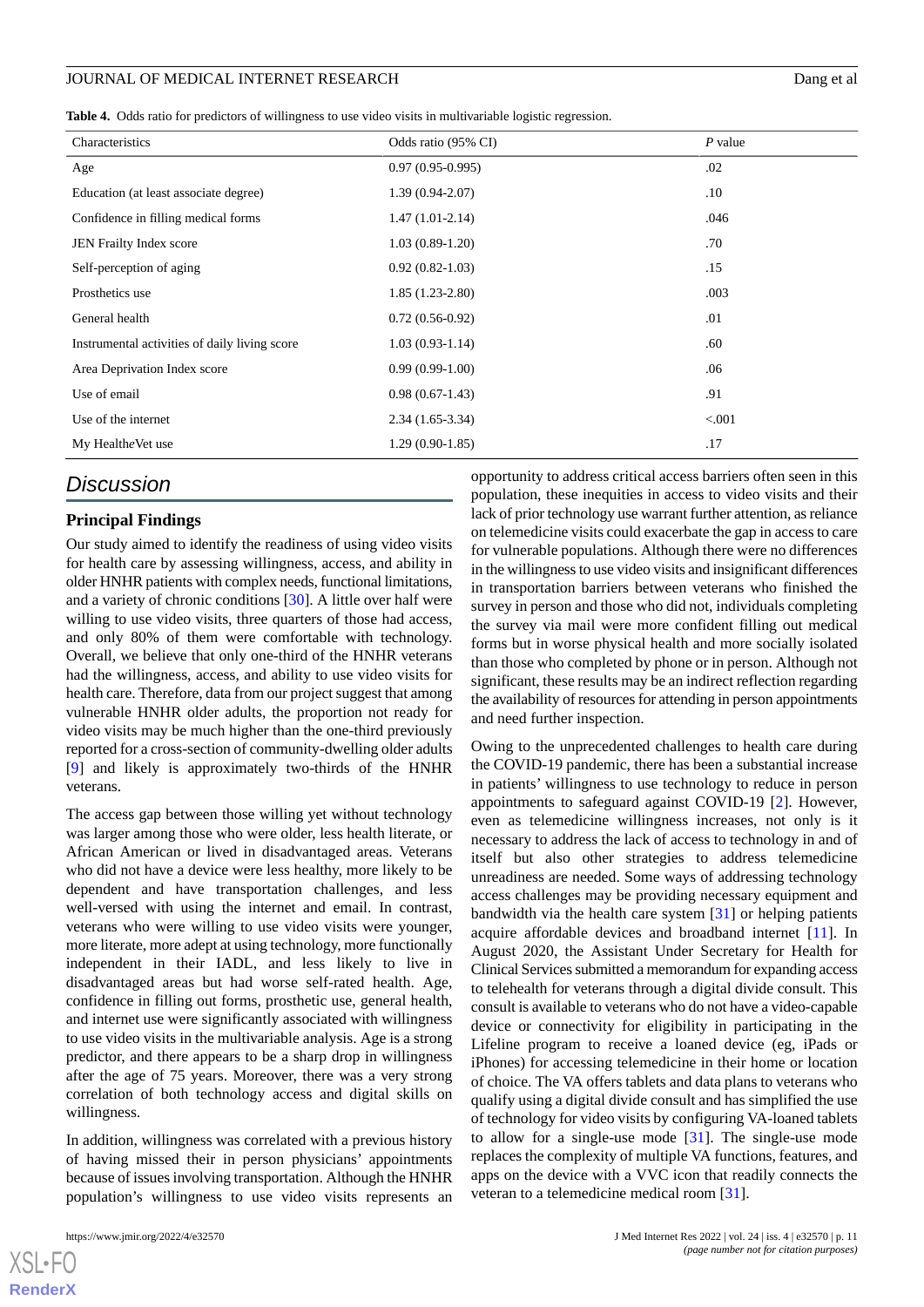### JOURNAL OF MEDICAL INTERNET RESEARCH DANGER AND A LOCAL TO DANGER AND DANGER AND DANGER AND DANGER AND DANGER AND DANGER AND DANGER AND DANGER AND DANGER AND DANGER AND A LOCAL TO DANGER AND DANGER AND DANGER AND DANGER AN

<span id="page-10-0"></span>

|  | Table 4. Odds ratio for predictors of willingness to use video visits in multivariable logistic regression. |  |  |  |  |  |
|--|-------------------------------------------------------------------------------------------------------------|--|--|--|--|--|
|--|-------------------------------------------------------------------------------------------------------------|--|--|--|--|--|

| Characteristics                               | Odds ratio (95% CI) | $P$ value |
|-----------------------------------------------|---------------------|-----------|
| Age                                           | $0.97(0.95-0.995)$  | .02       |
| Education (at least associate degree)         | $1.39(0.94-2.07)$   | $.10\,$   |
| Confidence in filling medical forms           | $1.47(1.01-2.14)$   | .046      |
| JEN Frailty Index score                       | $1.03(0.89-1.20)$   | .70       |
| Self-perception of aging                      | $0.92(0.82-1.03)$   | .15       |
| Prosthetics use                               | $1.85(1.23-2.80)$   | .003      |
| General health                                | $0.72(0.56-0.92)$   | .01       |
| Instrumental activities of daily living score | $1.03(0.93-1.14)$   | .60       |
| Area Deprivation Index score                  | $0.99(0.99-1.00)$   | .06       |
| Use of email                                  | $0.98(0.67-1.43)$   | .91       |
| Use of the internet                           | $2.34(1.65-3.34)$   | < 0.001   |
| My HealtheVet use                             | $1.29(0.90-1.85)$   | .17       |
|                                               |                     |           |

# *Discussion*

# **Principal Findings**

Our study aimed to identify the readiness of using video visits for health care by assessing willingness, access, and ability in older HNHR patients with complex needs, functional limitations, and a variety of chronic conditions [\[30](#page-13-15)]. A little over half were willing to use video visits, three quarters of those had access, and only 80% of them were comfortable with technology. Overall, we believe that only one-third of the HNHR veterans had the willingness, access, and ability to use video visits for health care. Therefore, data from our project suggest that among vulnerable HNHR older adults, the proportion not ready for video visits may be much higher than the one-third previously reported for a cross-section of community-dwelling older adults [[9\]](#page-12-8) and likely is approximately two-thirds of the HNHR veterans.

The access gap between those willing yet without technology was larger among those who were older, less health literate, or African American or lived in disadvantaged areas. Veterans who did not have a device were less healthy, more likely to be dependent and have transportation challenges, and less well-versed with using the internet and email. In contrast, veterans who were willing to use video visits were younger, more literate, more adept at using technology, more functionally independent in their IADL, and less likely to live in disadvantaged areas but had worse self-rated health. Age, confidence in filling out forms, prosthetic use, general health, and internet use were significantly associated with willingness to use video visits in the multivariable analysis. Age is a strong predictor, and there appears to be a sharp drop in willingness after the age of 75 years. Moreover, there was a very strong correlation of both technology access and digital skills on willingness.

In addition, willingness was correlated with a previous history of having missed their in person physicians' appointments because of issues involving transportation. Although the HNHR population's willingness to use video visits represents an

[XSL](http://www.w3.org/Style/XSL)•FO **[RenderX](http://www.renderx.com/)**

opportunity to address critical access barriers often seen in this population, these inequities in access to video visits and their lack of prior technology use warrant further attention, as reliance on telemedicine visits could exacerbate the gap in access to care for vulnerable populations. Although there were no differences in the willingness to use video visits and insignificant differences in transportation barriers between veterans who finished the survey in person and those who did not, individuals completing the survey via mail were more confident filling out medical forms but in worse physical health and more socially isolated than those who completed by phone or in person. Although not significant, these results may be an indirect reflection regarding the availability of resources for attending in person appointments and need further inspection.

Owing to the unprecedented challenges to health care during the COVID-19 pandemic, there has been a substantial increase in patients' willingness to use technology to reduce in person appointments to safeguard against COVID-19 [[2\]](#page-12-1). However, even as telemedicine willingness increases, not only is it necessary to address the lack of access to technology in and of itself but also other strategies to address telemedicine unreadiness are needed. Some ways of addressing technology access challenges may be providing necessary equipment and bandwidth via the health care system [[31\]](#page-13-16) or helping patients acquire affordable devices and broadband internet [[11\]](#page-12-9). In August 2020, the Assistant Under Secretary for Health for Clinical Services submitted a memorandum for expanding access to telehealth for veterans through a digital divide consult. This consult is available to veterans who do not have a video-capable device or connectivity for eligibility in participating in the Lifeline program to receive a loaned device (eg, iPads or iPhones) for accessing telemedicine in their home or location of choice. The VA offers tablets and data plans to veterans who qualify using a digital divide consult and has simplified the use of technology for video visits by configuring VA-loaned tablets to allow for a single-use mode [\[31](#page-13-16)]. The single-use mode replaces the complexity of multiple VA functions, features, and apps on the device with a VVC icon that readily connects the veteran to a telemedicine medical room [\[31](#page-13-16)].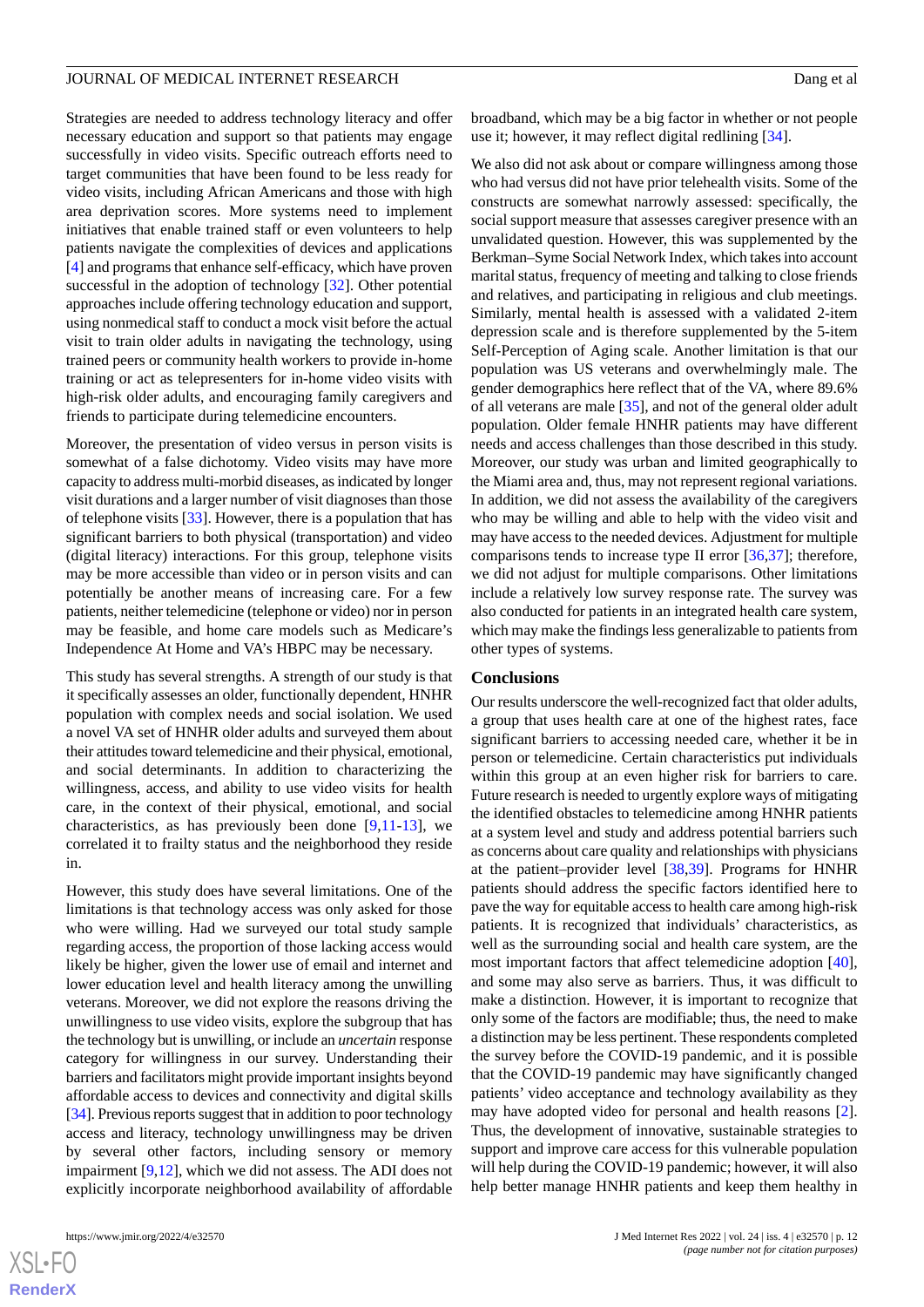### JOURNAL OF MEDICAL INTERNET RESEARCH DANG THE SERIES OF A LOOP CONTROL OF MEDICAL INTERNET RESEARCH

Strategies are needed to address technology literacy and offer necessary education and support so that patients may engage successfully in video visits. Specific outreach efforts need to target communities that have been found to be less ready for video visits, including African Americans and those with high area deprivation scores. More systems need to implement initiatives that enable trained staff or even volunteers to help patients navigate the complexities of devices and applications [[4\]](#page-12-3) and programs that enhance self-efficacy, which have proven successful in the adoption of technology [\[32](#page-13-17)]. Other potential approaches include offering technology education and support, using nonmedical staff to conduct a mock visit before the actual visit to train older adults in navigating the technology, using trained peers or community health workers to provide in-home training or act as telepresenters for in-home video visits with high-risk older adults, and encouraging family caregivers and friends to participate during telemedicine encounters.

Moreover, the presentation of video versus in person visits is somewhat of a false dichotomy. Video visits may have more capacity to address multi-morbid diseases, as indicated by longer visit durations and a larger number of visit diagnoses than those of telephone visits [[33\]](#page-13-18). However, there is a population that has significant barriers to both physical (transportation) and video (digital literacy) interactions. For this group, telephone visits may be more accessible than video or in person visits and can potentially be another means of increasing care. For a few patients, neither telemedicine (telephone or video) nor in person may be feasible, and home care models such as Medicare's Independence At Home and VA's HBPC may be necessary.

This study has several strengths. A strength of our study is that it specifically assesses an older, functionally dependent, HNHR population with complex needs and social isolation. We used a novel VA set of HNHR older adults and surveyed them about their attitudes toward telemedicine and their physical, emotional, and social determinants. In addition to characterizing the willingness, access, and ability to use video visits for health care, in the context of their physical, emotional, and social characteristics, as has previously been done  $[9,11-13]$  $[9,11-13]$  $[9,11-13]$  $[9,11-13]$  $[9,11-13]$ , we correlated it to frailty status and the neighborhood they reside in.

However, this study does have several limitations. One of the limitations is that technology access was only asked for those who were willing. Had we surveyed our total study sample regarding access, the proportion of those lacking access would likely be higher, given the lower use of email and internet and lower education level and health literacy among the unwilling veterans. Moreover, we did not explore the reasons driving the unwillingness to use video visits, explore the subgroup that has the technology but is unwilling, or include an *uncertain* response category for willingness in our survey. Understanding their barriers and facilitators might provide important insights beyond affordable access to devices and connectivity and digital skills [[34\]](#page-13-19). Previous reports suggest that in addition to poor technology access and literacy, technology unwillingness may be driven by several other factors, including sensory or memory impairment [\[9](#page-12-8),[12\]](#page-12-10), which we did not assess. The ADI does not explicitly incorporate neighborhood availability of affordable

use it; however, it may reflect digital redlining [\[34](#page-13-19)]. We also did not ask about or compare willingness among those who had versus did not have prior telehealth visits. Some of the constructs are somewhat narrowly assessed: specifically, the social support measure that assesses caregiver presence with an unvalidated question. However, this was supplemented by the Berkman–Syme Social Network Index, which takes into account marital status, frequency of meeting and talking to close friends and relatives, and participating in religious and club meetings. Similarly, mental health is assessed with a validated 2-item depression scale and is therefore supplemented by the 5-item Self-Perception of Aging scale. Another limitation is that our population was US veterans and overwhelmingly male. The gender demographics here reflect that of the VA, where 89.6% of all veterans are male [\[35](#page-13-20)], and not of the general older adult population. Older female HNHR patients may have different needs and access challenges than those described in this study. Moreover, our study was urban and limited geographically to the Miami area and, thus, may not represent regional variations. In addition, we did not assess the availability of the caregivers who may be willing and able to help with the video visit and may have access to the needed devices. Adjustment for multiple comparisons tends to increase type II error  $[36,37]$  $[36,37]$  $[36,37]$  $[36,37]$ ; therefore, we did not adjust for multiple comparisons. Other limitations include a relatively low survey response rate. The survey was also conducted for patients in an integrated health care system, which may make the findings less generalizable to patients from other types of systems.

### **Conclusions**

Our results underscore the well-recognized fact that older adults, a group that uses health care at one of the highest rates, face significant barriers to accessing needed care, whether it be in person or telemedicine. Certain characteristics put individuals within this group at an even higher risk for barriers to care. Future research is needed to urgently explore ways of mitigating the identified obstacles to telemedicine among HNHR patients at a system level and study and address potential barriers such as concerns about care quality and relationships with physicians at the patient–provider level [\[38](#page-14-0),[39\]](#page-14-1). Programs for HNHR patients should address the specific factors identified here to pave the way for equitable access to health care among high-risk patients. It is recognized that individuals' characteristics, as well as the surrounding social and health care system, are the most important factors that affect telemedicine adoption [[40\]](#page-14-2), and some may also serve as barriers. Thus, it was difficult to make a distinction. However, it is important to recognize that only some of the factors are modifiable; thus, the need to make a distinction may be less pertinent. These respondents completed the survey before the COVID-19 pandemic, and it is possible that the COVID-19 pandemic may have significantly changed patients' video acceptance and technology availability as they may have adopted video for personal and health reasons [[2\]](#page-12-1). Thus, the development of innovative, sustainable strategies to support and improve care access for this vulnerable population will help during the COVID-19 pandemic; however, it will also help better manage HNHR patients and keep them healthy in

 $XS$ -FO **[RenderX](http://www.renderx.com/)**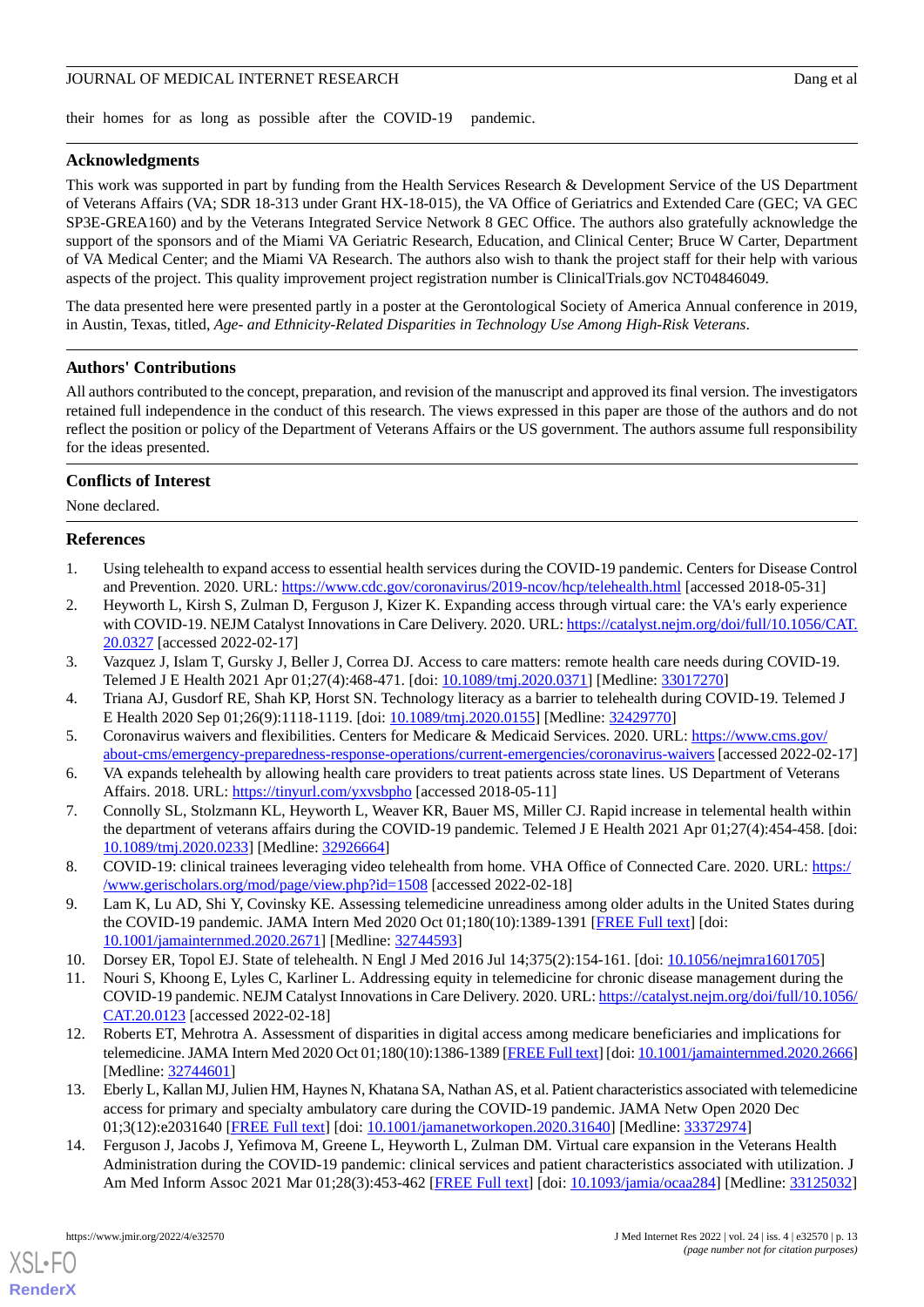### JOURNAL OF MEDICAL INTERNET RESEARCH DANGER AND THE SERVICE OF MEDICAL INTERNET RESEARCH

their homes for as long as possible after the COVID-19 pandemic.

# **Acknowledgments**

This work was supported in part by funding from the Health Services Research & Development Service of the US Department of Veterans Affairs (VA; SDR 18-313 under Grant HX-18-015), the VA Office of Geriatrics and Extended Care (GEC; VA GEC SP3E-GREA160) and by the Veterans Integrated Service Network 8 GEC Office. The authors also gratefully acknowledge the support of the sponsors and of the Miami VA Geriatric Research, Education, and Clinical Center; Bruce W Carter, Department of VA Medical Center; and the Miami VA Research. The authors also wish to thank the project staff for their help with various aspects of the project. This quality improvement project registration number is ClinicalTrials.gov NCT04846049.

The data presented here were presented partly in a poster at the Gerontological Society of America Annual conference in 2019, in Austin, Texas, titled, *Age- and Ethnicity-Related Disparities in Technology Use Among High-Risk Veterans*.

# **Authors' Contributions**

All authors contributed to the concept, preparation, and revision of the manuscript and approved its final version. The investigators retained full independence in the conduct of this research. The views expressed in this paper are those of the authors and do not reflect the position or policy of the Department of Veterans Affairs or the US government. The authors assume full responsibility for the ideas presented.

### **Conflicts of Interest**

<span id="page-12-0"></span>None declared.

### <span id="page-12-1"></span>**References**

- 1. Using telehealth to expand access to essential health services during the COVID-19 pandemic. Centers for Disease Control and Prevention. 2020. URL: <https://www.cdc.gov/coronavirus/2019-ncov/hcp/telehealth.html> [accessed 2018-05-31]
- <span id="page-12-3"></span><span id="page-12-2"></span>2. Heyworth L, Kirsh S, Zulman D, Ferguson J, Kizer K. Expanding access through virtual care: the VA's early experience with COVID-19. NEJM Catalyst Innovations in Care Delivery. 2020. URL: [https://catalyst.nejm.org/doi/full/10.1056/CAT.](https://catalyst.nejm.org/doi/full/10.1056/CAT.20.0327) [20.0327](https://catalyst.nejm.org/doi/full/10.1056/CAT.20.0327) [accessed 2022-02-17]
- <span id="page-12-4"></span>3. Vazquez J, Islam T, Gursky J, Beller J, Correa DJ. Access to care matters: remote health care needs during COVID-19. Telemed J E Health 2021 Apr 01;27(4):468-471. [doi: [10.1089/tmj.2020.0371\]](http://dx.doi.org/10.1089/tmj.2020.0371) [Medline: [33017270](http://www.ncbi.nlm.nih.gov/entrez/query.fcgi?cmd=Retrieve&db=PubMed&list_uids=33017270&dopt=Abstract)]
- <span id="page-12-5"></span>4. Triana AJ, Gusdorf RE, Shah KP, Horst SN. Technology literacy as a barrier to telehealth during COVID-19. Telemed J E Health 2020 Sep 01;26(9):1118-1119. [doi: [10.1089/tmj.2020.0155\]](http://dx.doi.org/10.1089/tmj.2020.0155) [Medline: [32429770\]](http://www.ncbi.nlm.nih.gov/entrez/query.fcgi?cmd=Retrieve&db=PubMed&list_uids=32429770&dopt=Abstract)
- <span id="page-12-6"></span>5. Coronavirus waivers and flexibilities. Centers for Medicare & Medicaid Services. 2020. URL: [https://www.cms.gov/](https://www.cms.gov/about-cms/emergency-preparedness-response-operations/current-emergencies/coronavirus-waivers) [about-cms/emergency-preparedness-response-operations/current-emergencies/coronavirus-waivers](https://www.cms.gov/about-cms/emergency-preparedness-response-operations/current-emergencies/coronavirus-waivers) [accessed 2022-02-17]
- <span id="page-12-7"></span>6. VA expands telehealth by allowing health care providers to treat patients across state lines. US Department of Veterans Affairs. 2018. URL: <https://tinyurl.com/yxvsbpho> [accessed 2018-05-11]
- <span id="page-12-8"></span>7. Connolly SL, Stolzmann KL, Heyworth L, Weaver KR, Bauer MS, Miller CJ. Rapid increase in telemental health within the department of veterans affairs during the COVID-19 pandemic. Telemed J E Health 2021 Apr 01;27(4):454-458. [doi: [10.1089/tmj.2020.0233](http://dx.doi.org/10.1089/tmj.2020.0233)] [Medline: [32926664\]](http://www.ncbi.nlm.nih.gov/entrez/query.fcgi?cmd=Retrieve&db=PubMed&list_uids=32926664&dopt=Abstract)
- <span id="page-12-9"></span>8. COVID-19: clinical trainees leveraging video telehealth from home. VHA Office of Connected Care. 2020. URL: [https:/](https://www.gerischolars.org/mod/page/view.php?id=1508) [/www.gerischolars.org/mod/page/view.php?id=1508](https://www.gerischolars.org/mod/page/view.php?id=1508) [accessed 2022-02-18]
- <span id="page-12-10"></span>9. Lam K, Lu AD, Shi Y, Covinsky KE. Assessing telemedicine unreadiness among older adults in the United States during the COVID-19 pandemic. JAMA Intern Med 2020 Oct 01;180(10):1389-1391 [\[FREE Full text\]](http://europepmc.org/abstract/MED/32744593) [doi: [10.1001/jamainternmed.2020.2671\]](http://dx.doi.org/10.1001/jamainternmed.2020.2671) [Medline: [32744593\]](http://www.ncbi.nlm.nih.gov/entrez/query.fcgi?cmd=Retrieve&db=PubMed&list_uids=32744593&dopt=Abstract)
- 10. Dorsey ER, Topol EJ. State of telehealth. N Engl J Med 2016 Jul 14;375(2):154-161. [doi: [10.1056/nejmra1601705](http://dx.doi.org/10.1056/nejmra1601705)]
- <span id="page-12-12"></span>11. Nouri S, Khoong E, Lyles C, Karliner L. Addressing equity in telemedicine for chronic disease management during the COVID-19 pandemic. NEJM Catalyst Innovations in Care Delivery. 2020. URL: [https://catalyst.nejm.org/doi/full/10.1056/](https://catalyst.nejm.org/doi/full/10.1056/CAT.20.0123) [CAT.20.0123](https://catalyst.nejm.org/doi/full/10.1056/CAT.20.0123) [accessed 2022-02-18]
- <span id="page-12-11"></span>12. Roberts ET, Mehrotra A. Assessment of disparities in digital access among medicare beneficiaries and implications for telemedicine. JAMA Intern Med 2020 Oct 01;180(10):1386-1389 [\[FREE Full text\]](http://europepmc.org/abstract/MED/32744601) [doi: [10.1001/jamainternmed.2020.2666\]](http://dx.doi.org/10.1001/jamainternmed.2020.2666) [Medline: [32744601](http://www.ncbi.nlm.nih.gov/entrez/query.fcgi?cmd=Retrieve&db=PubMed&list_uids=32744601&dopt=Abstract)]
- 13. Eberly L, Kallan MJ, Julien HM, Haynes N, Khatana SA, Nathan AS, et al. Patient characteristics associated with telemedicine access for primary and specialty ambulatory care during the COVID-19 pandemic. JAMA Netw Open 2020 Dec 01;3(12):e2031640 [\[FREE Full text](https://jamanetwork.com/journals/jamanetworkopen/fullarticle/10.1001/jamanetworkopen.2020.31640)] [doi: [10.1001/jamanetworkopen.2020.31640](http://dx.doi.org/10.1001/jamanetworkopen.2020.31640)] [Medline: [33372974](http://www.ncbi.nlm.nih.gov/entrez/query.fcgi?cmd=Retrieve&db=PubMed&list_uids=33372974&dopt=Abstract)]
- 14. Ferguson J, Jacobs J, Yefimova M, Greene L, Heyworth L, Zulman DM. Virtual care expansion in the Veterans Health Administration during the COVID-19 pandemic: clinical services and patient characteristics associated with utilization. J Am Med Inform Assoc 2021 Mar 01;28(3):453-462 [\[FREE Full text](http://europepmc.org/abstract/MED/33125032)] [doi: [10.1093/jamia/ocaa284](http://dx.doi.org/10.1093/jamia/ocaa284)] [Medline: [33125032](http://www.ncbi.nlm.nih.gov/entrez/query.fcgi?cmd=Retrieve&db=PubMed&list_uids=33125032&dopt=Abstract)]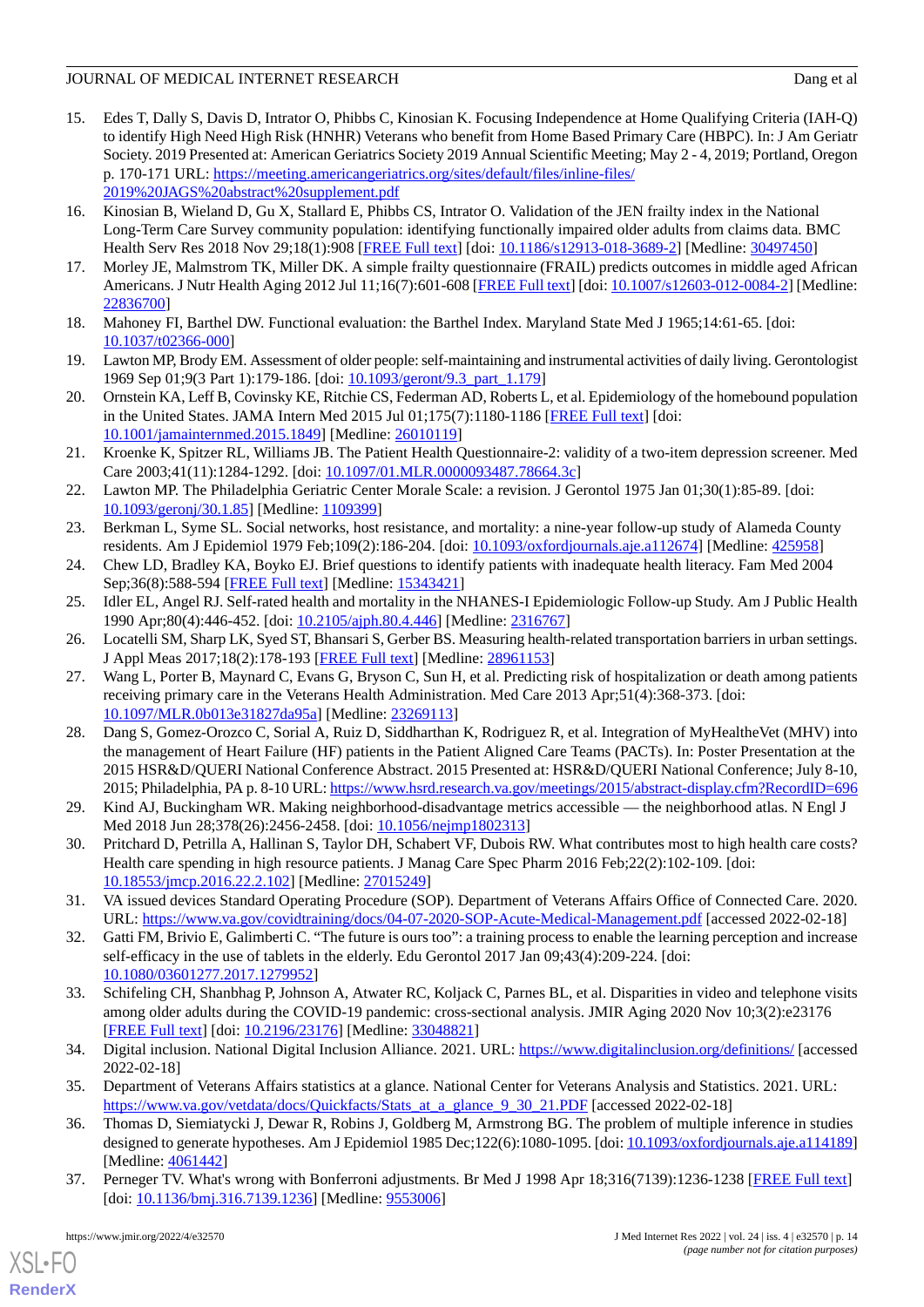# JOURNAL OF MEDICAL INTERNET RESEARCH DANGER AND THE USE OF A LOOP ON A LOOP OF A LOOP OF A LOOP OF A LOOP OF A

- <span id="page-13-0"></span>15. Edes T, Dally S, Davis D, Intrator O, Phibbs C, Kinosian K. Focusing Independence at Home Qualifying Criteria (IAH-Q) to identify High Need High Risk (HNHR) Veterans who benefit from Home Based Primary Care (HBPC). In: J Am Geriatr Society. 2019 Presented at: American Geriatrics Society 2019 Annual Scientific Meeting; May 2 - 4, 2019; Portland, Oregon p. 170-171 URL: [https://meeting.americangeriatrics.org/sites/default/files/inline-files/](https://meeting.americangeriatrics.org/sites/default/files/inline-files/2019%20JAGS%20abstract%20supplement.pdf) [2019%20JAGS%20abstract%20supplement.pdf](https://meeting.americangeriatrics.org/sites/default/files/inline-files/2019%20JAGS%20abstract%20supplement.pdf)
- <span id="page-13-1"></span>16. Kinosian B, Wieland D, Gu X, Stallard E, Phibbs CS, Intrator O. Validation of the JEN frailty index in the National Long-Term Care Survey community population: identifying functionally impaired older adults from claims data. BMC Health Serv Res 2018 Nov 29;18(1):908 [\[FREE Full text](https://bmchealthservres.biomedcentral.com/articles/10.1186/s12913-018-3689-2)] [doi: [10.1186/s12913-018-3689-2\]](http://dx.doi.org/10.1186/s12913-018-3689-2) [Medline: [30497450\]](http://www.ncbi.nlm.nih.gov/entrez/query.fcgi?cmd=Retrieve&db=PubMed&list_uids=30497450&dopt=Abstract)
- <span id="page-13-3"></span><span id="page-13-2"></span>17. Morley JE, Malmstrom TK, Miller DK. A simple frailty questionnaire (FRAIL) predicts outcomes in middle aged African Americans. J Nutr Health Aging 2012 Jul 11;16(7):601-608 [\[FREE Full text\]](http://europepmc.org/abstract/MED/22836700) [doi: [10.1007/s12603-012-0084-2\]](http://dx.doi.org/10.1007/s12603-012-0084-2) [Medline: [22836700](http://www.ncbi.nlm.nih.gov/entrez/query.fcgi?cmd=Retrieve&db=PubMed&list_uids=22836700&dopt=Abstract)]
- <span id="page-13-4"></span>18. Mahoney FI, Barthel DW. Functional evaluation: the Barthel Index. Maryland State Med J 1965;14:61-65. [doi: [10.1037/t02366-000\]](http://dx.doi.org/10.1037/t02366-000)
- <span id="page-13-5"></span>19. Lawton MP, Brody EM. Assessment of older people: self-maintaining and instrumental activities of daily living. Gerontologist 1969 Sep 01;9(3 Part 1):179-186. [doi: [10.1093/geront/9.3\\_part\\_1.179\]](http://dx.doi.org/10.1093/geront/9.3_part_1.179)
- <span id="page-13-6"></span>20. Ornstein KA, Leff B, Covinsky KE, Ritchie CS, Federman AD, Roberts L, et al. Epidemiology of the homebound population in the United States. JAMA Intern Med 2015 Jul 01;175(7):1180-1186 [\[FREE Full text\]](http://europepmc.org/abstract/MED/26010119) [doi: [10.1001/jamainternmed.2015.1849\]](http://dx.doi.org/10.1001/jamainternmed.2015.1849) [Medline: [26010119\]](http://www.ncbi.nlm.nih.gov/entrez/query.fcgi?cmd=Retrieve&db=PubMed&list_uids=26010119&dopt=Abstract)
- <span id="page-13-7"></span>21. Kroenke K, Spitzer RL, Williams JB. The Patient Health Questionnaire-2: validity of a two-item depression screener. Med Care 2003;41(11):1284-1292. [doi: [10.1097/01.MLR.0000093487.78664.3c](http://dx.doi.org/10.1097/01.MLR.0000093487.78664.3c)]
- <span id="page-13-8"></span>22. Lawton MP. The Philadelphia Geriatric Center Morale Scale: a revision. J Gerontol 1975 Jan 01;30(1):85-89. [doi: [10.1093/geronj/30.1.85](http://dx.doi.org/10.1093/geronj/30.1.85)] [Medline: [1109399\]](http://www.ncbi.nlm.nih.gov/entrez/query.fcgi?cmd=Retrieve&db=PubMed&list_uids=1109399&dopt=Abstract)
- <span id="page-13-10"></span><span id="page-13-9"></span>23. Berkman L, Syme SL. Social networks, host resistance, and mortality: a nine-year follow-up study of Alameda County residents. Am J Epidemiol 1979 Feb;109(2):186-204. [doi: [10.1093/oxfordjournals.aje.a112674\]](http://dx.doi.org/10.1093/oxfordjournals.aje.a112674) [Medline: [425958\]](http://www.ncbi.nlm.nih.gov/entrez/query.fcgi?cmd=Retrieve&db=PubMed&list_uids=425958&dopt=Abstract)
- <span id="page-13-11"></span>24. Chew LD, Bradley KA, Boyko EJ. Brief questions to identify patients with inadequate health literacy. Fam Med 2004 Sep;36(8):588-594 [[FREE Full text](http://www.stfm.org/fmhub/fm2004/September/Lisa588.pdf)] [Medline: [15343421](http://www.ncbi.nlm.nih.gov/entrez/query.fcgi?cmd=Retrieve&db=PubMed&list_uids=15343421&dopt=Abstract)]
- <span id="page-13-12"></span>25. Idler EL, Angel RJ. Self-rated health and mortality in the NHANES-I Epidemiologic Follow-up Study. Am J Public Health 1990 Apr;80(4):446-452. [doi: [10.2105/ajph.80.4.446\]](http://dx.doi.org/10.2105/ajph.80.4.446) [Medline: [2316767](http://www.ncbi.nlm.nih.gov/entrez/query.fcgi?cmd=Retrieve&db=PubMed&list_uids=2316767&dopt=Abstract)]
- 26. Locatelli SM, Sharp LK, Syed ST, Bhansari S, Gerber BS. Measuring health-related transportation barriers in urban settings. J Appl Meas 2017;18(2):178-193 [[FREE Full text](http://europepmc.org/abstract/MED/28961153)] [Medline: [28961153](http://www.ncbi.nlm.nih.gov/entrez/query.fcgi?cmd=Retrieve&db=PubMed&list_uids=28961153&dopt=Abstract)]
- <span id="page-13-13"></span>27. Wang L, Porter B, Maynard C, Evans G, Bryson C, Sun H, et al. Predicting risk of hospitalization or death among patients receiving primary care in the Veterans Health Administration. Med Care 2013 Apr;51(4):368-373. [doi: [10.1097/MLR.0b013e31827da95a](http://dx.doi.org/10.1097/MLR.0b013e31827da95a)] [Medline: [23269113](http://www.ncbi.nlm.nih.gov/entrez/query.fcgi?cmd=Retrieve&db=PubMed&list_uids=23269113&dopt=Abstract)]
- <span id="page-13-15"></span><span id="page-13-14"></span>28. Dang S, Gomez-Orozco C, Sorial A, Ruiz D, Siddharthan K, Rodriguez R, et al. Integration of MyHealtheVet (MHV) into the management of Heart Failure (HF) patients in the Patient Aligned Care Teams (PACTs). In: Poster Presentation at the 2015 HSR&D/QUERI National Conference Abstract. 2015 Presented at: HSR&D/QUERI National Conference; July 8-10, 2015; Philadelphia, PA p. 8-10 URL:<https://www.hsrd.research.va.gov/meetings/2015/abstract-display.cfm?RecordID=696>
- <span id="page-13-16"></span>29. Kind AJ, Buckingham WR. Making neighborhood-disadvantage metrics accessible — the neighborhood atlas. N Engl J Med 2018 Jun 28;378(26):2456-2458. [doi: [10.1056/nejmp1802313](http://dx.doi.org/10.1056/nejmp1802313)]
- <span id="page-13-17"></span>30. Pritchard D, Petrilla A, Hallinan S, Taylor DH, Schabert VF, Dubois RW. What contributes most to high health care costs? Health care spending in high resource patients. J Manag Care Spec Pharm 2016 Feb;22(2):102-109. [doi: [10.18553/jmcp.2016.22.2.102\]](http://dx.doi.org/10.18553/jmcp.2016.22.2.102) [Medline: [27015249\]](http://www.ncbi.nlm.nih.gov/entrez/query.fcgi?cmd=Retrieve&db=PubMed&list_uids=27015249&dopt=Abstract)
- <span id="page-13-18"></span>31. VA issued devices Standard Operating Procedure (SOP). Department of Veterans Affairs Office of Connected Care. 2020. URL: <https://www.va.gov/covidtraining/docs/04-07-2020-SOP-Acute-Medical-Management.pdf> [accessed 2022-02-18]
- <span id="page-13-19"></span>32. Gatti FM, Brivio E, Galimberti C. "The future is ours too": a training process to enable the learning perception and increase self-efficacy in the use of tablets in the elderly. Edu Gerontol 2017 Jan 09;43(4):209-224. [doi: [10.1080/03601277.2017.1279952\]](http://dx.doi.org/10.1080/03601277.2017.1279952)
- <span id="page-13-21"></span><span id="page-13-20"></span>33. Schifeling CH, Shanbhag P, Johnson A, Atwater RC, Koljack C, Parnes BL, et al. Disparities in video and telephone visits among older adults during the COVID-19 pandemic: cross-sectional analysis. JMIR Aging 2020 Nov 10;3(2):e23176 [[FREE Full text](https://aging.jmir.org/2020/2/e23176/)] [doi: [10.2196/23176\]](http://dx.doi.org/10.2196/23176) [Medline: [33048821\]](http://www.ncbi.nlm.nih.gov/entrez/query.fcgi?cmd=Retrieve&db=PubMed&list_uids=33048821&dopt=Abstract)
- <span id="page-13-22"></span>34. Digital inclusion. National Digital Inclusion Alliance. 2021. URL: <https://www.digitalinclusion.org/definitions/> [accessed 2022-02-18]
- 35. Department of Veterans Affairs statistics at a glance. National Center for Veterans Analysis and Statistics. 2021. URL: [https://www.va.gov/vetdata/docs/Quickfacts/Stats\\_at\\_a\\_glance\\_9\\_30\\_21.PDF](https://www.va.gov/vetdata/docs/Quickfacts/Stats_at_a_glance_9_30_21.PDF) [accessed 2022-02-18]
- 36. Thomas D, Siemiatycki J, Dewar R, Robins J, Goldberg M, Armstrong BG. The problem of multiple inference in studies designed to generate hypotheses. Am J Epidemiol 1985 Dec;122(6):1080-1095. [doi: [10.1093/oxfordjournals.aje.a114189](http://dx.doi.org/10.1093/oxfordjournals.aje.a114189)] [Medline: [4061442\]](http://www.ncbi.nlm.nih.gov/entrez/query.fcgi?cmd=Retrieve&db=PubMed&list_uids=4061442&dopt=Abstract)
- 37. Perneger TV. What's wrong with Bonferroni adjustments. Br Med J 1998 Apr 18;316(7139):1236-1238 [\[FREE Full text\]](http://europepmc.org/abstract/MED/9553006) [doi: [10.1136/bmj.316.7139.1236](http://dx.doi.org/10.1136/bmj.316.7139.1236)] [Medline: [9553006](http://www.ncbi.nlm.nih.gov/entrez/query.fcgi?cmd=Retrieve&db=PubMed&list_uids=9553006&dopt=Abstract)]